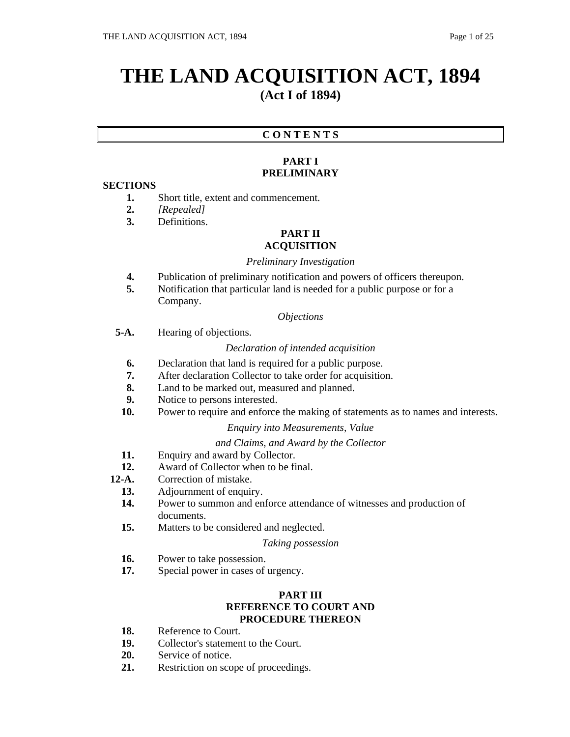# **THE LAND ACQUISITION ACT, 1894 (Act I of 1894)**

## **C O N T E N T S**

## **PART I PRELIMINARY**

## **SECTIONS**

- **1.** Short title, extent and commencement.
- **2.** *[Repealed]*
- **3.** Definitions.

#### **PART II ACQUISITION**

## *Preliminary Investigation*

- **4.** Publication of preliminary notification and powers of officers thereupon.
- **5.** Notification that particular land is needed for a public purpose or for a Company.

#### *Objections*

**5-A.** Hearing of objections.

#### *Declaration of intended acquisition*

- **6.** Declaration that land is required for a public purpose.
- **7.** After declaration Collector to take order for acquisition.
- **8.** Land to be marked out, measured and planned.
- **9.** Notice to persons interested.
- **10.** Power to require and enforce the making of statements as to names and interests.

#### *Enquiry into Measurements, Value*

#### *and Claims, and Award by the Collector*

- **11.** Enquiry and award by Collector.
- **12.** Award of Collector when to be final.
- **12-A.** Correction of mistake.
	- **13.** Adjournment of enquiry.
	- **14.** Power to summon and enforce attendance of witnesses and production of documents.
	- **15.** Matters to be considered and neglected.

#### *Taking possession*

- **16.** Power to take possession.
- **17.** Special power in cases of urgency.

## **PART III REFERENCE TO COURT AND PROCEDURE THEREON**

- **18.** Reference to Court.
- **19.** Collector's statement to the Court.
- **20.** Service of notice.
- **21.** Restriction on scope of proceedings.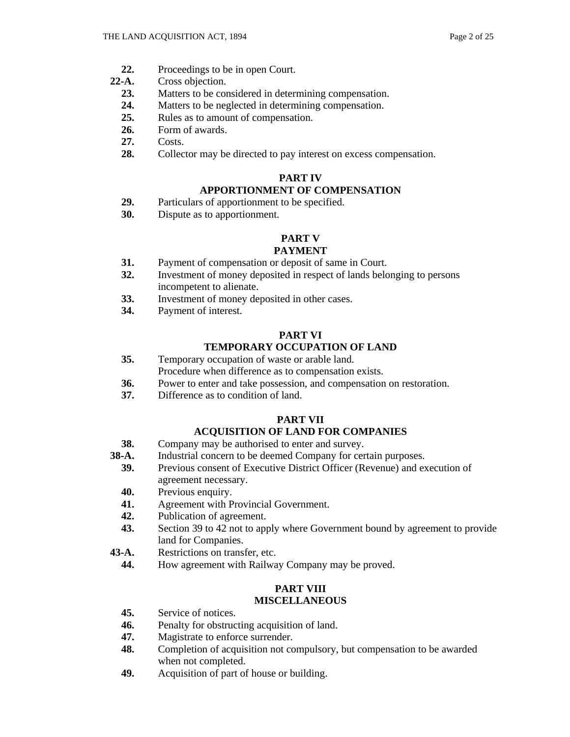- **22.** Proceedings to be in open Court.
- **22-A.** Cross objection.
	- **23.** Matters to be considered in determining compensation.
	- **24.** Matters to be neglected in determining compensation.
	- **25.** Rules as to amount of compensation.
	- **26.** Form of awards.
	- **27.** Costs.
	- **28.** Collector may be directed to pay interest on excess compensation.

## **PART IV**

## **APPORTIONMENT OF COMPENSATION**

- **29.** Particulars of apportionment to be specified.
- **30.** Dispute as to apportionment.

#### **PART V**

## **PAYMENT**

- **31.** Payment of compensation or deposit of same in Court.
- **32.** Investment of money deposited in respect of lands belonging to persons incompetent to alienate.
- **33.** Investment of money deposited in other cases.
- **34.** Payment of interest.

## **PART VI**

## **TEMPORARY OCCUPATION OF LAND**

- **35.** Temporary occupation of waste or arable land. Procedure when difference as to compensation exists.
- **36.** Power to enter and take possession, and compensation on restoration.
- **37.** Difference as to condition of land.

## **PART VII**

## **ACQUISITION OF LAND FOR COMPANIES**

- **38.** Company may be authorised to enter and survey.
- **38-A.** Industrial concern to be deemed Company for certain purposes.
- **39.** Previous consent of Executive District Officer (Revenue) and execution of agreement necessary.
- **40.** Previous enquiry.
- **41.** Agreement with Provincial Government.
- **42.** Publication of agreement.
- **43.** Section 39 to 42 not to apply where Government bound by agreement to provide land for Companies.
- **43-A.** Restrictions on transfer, etc.
	- **44.** How agreement with Railway Company may be proved.

## **PART VIII MISCELLANEOUS**

- **45.** Service of notices.
- **46.** Penalty for obstructing acquisition of land.
- **47.** Magistrate to enforce surrender.
- **48.** Completion of acquisition not compulsory, but compensation to be awarded when not completed.
- **49.** Acquisition of part of house or building.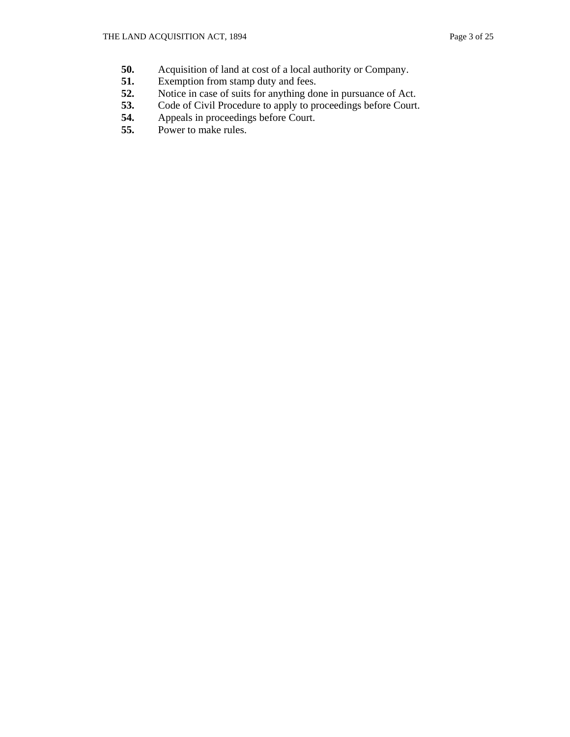- **50.** Acquisition of land at cost of a local authority or Company.
- **51.** Exemption from stamp duty and fees.<br>**52.** Notice in case of suits for anything do
- Notice in case of suits for anything done in pursuance of Act.
- **53.** Code of Civil Procedure to apply to proceedings before Court.
- 54. Appeals in proceedings before Court.<br>55. Power to make rules.
- Power to make rules.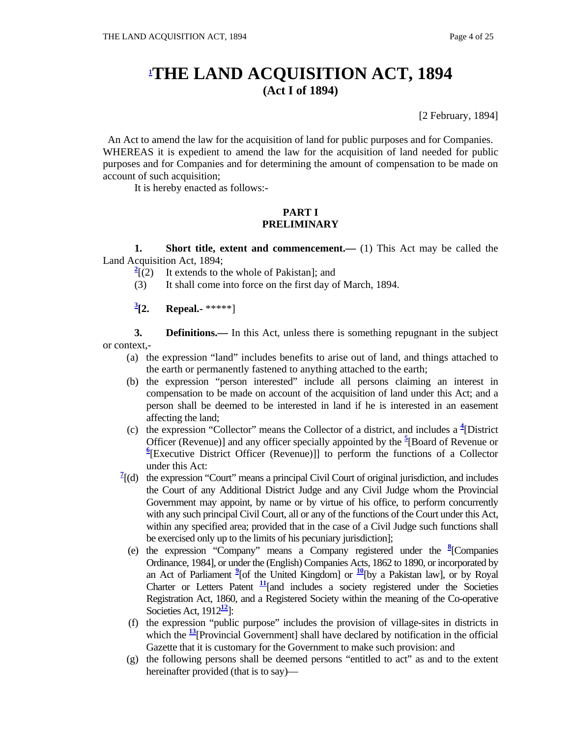## **1 THE LAND ACQUISITION ACT, 1894 (Act I of 1894)**

[2 February, 1894]

An Act to amend the law for the acquisition of land for public purposes and for Companies. WHEREAS it is expedient to amend the law for the acquisition of land needed for public purposes and for Companies and for determining the amount of compensation to be made on account of such acquisition;

It is hereby enacted as follows:-

## **PART I PRELIMINARY**

**1.** Short title, extent and commencement.— (1) This Act may be called the Land Acquisition Act, 1894;

- $\frac{2}{2}$ <sup>2</sup> It extends to the whole of Pakistan]; and
- (3) It shall come into force on the first day of March, 1894.
- $\frac{3}{2}$ [2. **[2. Repeal.-** \*\*\*\*\*]

**3. Definitions.**— In this Act, unless there is something repugnant in the subject or context,-

- (a) the expression "land" includes benefits to arise out of land, and things attached to the earth or permanently fastened to anything attached to the earth;
- (b) the expression "person interested" include all persons claiming an interest in compensation to be made on account of the acquisition of land under this Act; and a person shall be deemed to be interested in land if he is interested in an easement affecting the land;
- (c) the expression "Collector" means the Collector of a district, and includes a **<sup>4</sup>** [District Officer (Revenue)] and any officer specially appointed by the  $\frac{5}{2}$ [Board of Revenue or <sup>6</sup> [Executive District Officer (Revenue)]] to perform the functions of a Collector under this Act:
	- $\frac{7}{2}$  (d) the expression "Court" means a principal Civil Court of original jurisdiction, and includes the Court of any Additional District Judge and any Civil Judge whom the Provincial Government may appoint, by name or by virtue of his office, to perform concurrently with any such principal Civil Court, all or any of the functions of the Court under this Act, within any specified area; provided that in the case of a Civil Judge such functions shall be exercised only up to the limits of his pecuniary jurisdiction];
- (e) the expression "Company" means a Company registered under the **<sup>8</sup>** [Companies Ordinance, 1984], or under the (English) Companies Acts, 1862 to 1890, or incorporated by an Act of Parliament  $^{2}$  [of the United Kingdom] or  $^{10}$  [by a Pakistan law], or by Royal Charter or Letters Patent  $\frac{11}{2}$ [and includes a society registered under the Societies Registration Act, 1860, and a Registered Society within the meaning of the Co-operative Societies Act,  $1912<sup>12</sup>$ ]:
	- (f) the expression "public purpose" includes the provision of village-sites in districts in which the  $\frac{13}{2}$ [Provincial Government] shall have declared by notification in the official Gazette that it is customary for the Government to make such provision: and
	- (g) the following persons shall be deemed persons "entitled to act" as and to the extent hereinafter provided (that is to say)—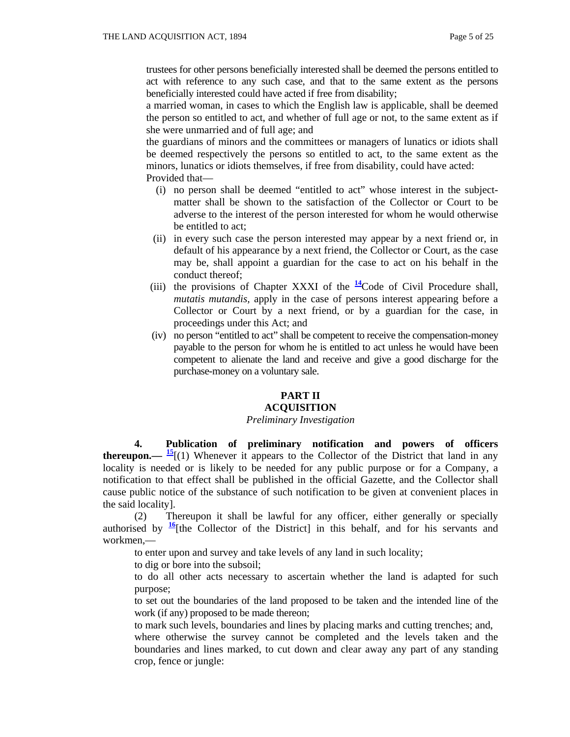trustees for other persons beneficially interested shall be deemed the persons entitled to act with reference to any such case, and that to the same extent as the persons beneficially interested could have acted if free from disability;

 a married woman, in cases to which the English law is applicable, shall be deemed the person so entitled to act, and whether of full age or not, to the same extent as if she were unmarried and of full age; and

 the guardians of minors and the committees or managers of lunatics or idiots shall be deemed respectively the persons so entitled to act, to the same extent as the minors, lunatics or idiots themselves, if free from disability, could have acted: Provided that—

- (i) no person shall be deemed "entitled to act" whose interest in the subjectmatter shall be shown to the satisfaction of the Collector or Court to be adverse to the interest of the person interested for whom he would otherwise be entitled to act;
- (ii) in every such case the person interested may appear by a next friend or, in default of his appearance by a next friend, the Collector or Court, as the case may be, shall appoint a guardian for the case to act on his behalf in the conduct thereof;
- (iii) the provisions of Chapter XXXI of the  $\frac{14}{4}$ Code of Civil Procedure shall, *mutatis mutandis,* apply in the case of persons interest appearing before a Collector or Court by a next friend, or by a guardian for the case, in proceedings under this Act; and
- (iv) no person "entitled to act" shall be competent to receive the compensation-money payable to the person for whom he is entitled to act unless he would have been competent to alienate the land and receive and give a good discharge for the purchase-money on a voluntary sale.

## **PART II**

## **ACQUISITION**

#### *Preliminary Investigation*

 **4. Publication of preliminary notification and powers of officers thereupon.—**  $\frac{15}{2}$ **[(1) Whenever it appears to the Collector of the District that land in any** locality is needed or is likely to be needed for any public purpose or for a Company, a notification to that effect shall be published in the official Gazette, and the Collector shall cause public notice of the substance of such notification to be given at convenient places in the said locality].

 (2) Thereupon it shall be lawful for any officer, either generally or specially authorised by  $\frac{16}{6}$  [the Collector of the District] in this behalf, and for his servants and workmen,—

to enter upon and survey and take levels of any land in such locality;

to dig or bore into the subsoil;

 to do all other acts necessary to ascertain whether the land is adapted for such purpose;

 to set out the boundaries of the land proposed to be taken and the intended line of the work (if any) proposed to be made thereon;

to mark such levels, boundaries and lines by placing marks and cutting trenches; and,

 where otherwise the survey cannot be completed and the levels taken and the boundaries and lines marked, to cut down and clear away any part of any standing crop, fence or jungle: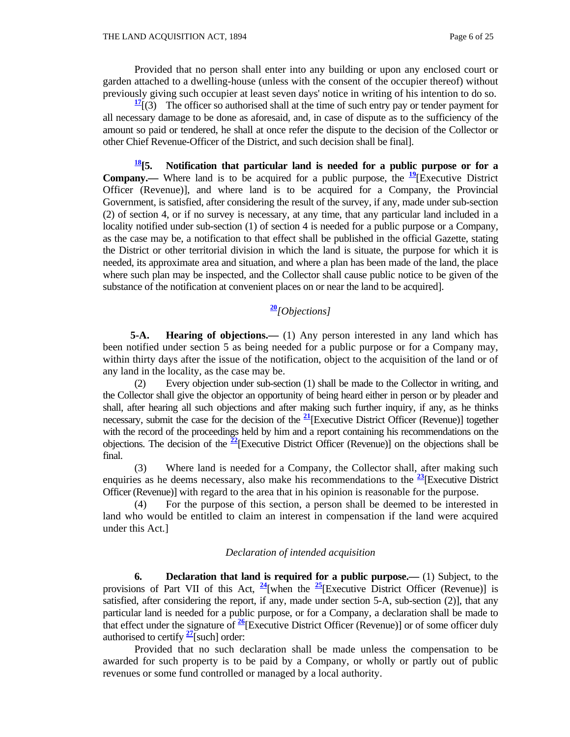Provided that no person shall enter into any building or upon any enclosed court or garden attached to a dwelling-house (unless with the consent of the occupier thereof) without previously giving such occupier at least seven days' notice in writing of his intention to do so.

 $\frac{17}{17}$  (3) The officer so authorised shall at the time of such entry pay or tender payment for all necessary damage to be done as aforesaid, and, in case of dispute as to the sufficiency of the amount so paid or tendered, he shall at once refer the dispute to the decision of the Collector or other Chief Revenue-Officer of the District, and such decision shall be final].

**18[5. Notification that particular land is needed for a public purpose or for a Company.**— Where land is to be acquired for a public purpose, the  $\frac{19}{2}$ [Executive District Officer (Revenue)], and where land is to be acquired for a Company, the Provincial Government, is satisfied, after considering the result of the survey, if any, made under sub-section (2) of section 4, or if no survey is necessary, at any time, that any particular land included in a locality notified under sub-section (1) of section 4 is needed for a public purpose or a Company, as the case may be, a notification to that effect shall be published in the official Gazette, stating the District or other territorial division in which the land is situate, the purpose for which it is needed, its approximate area and situation, and where a plan has been made of the land, the place where such plan may be inspected, and the Collector shall cause public notice to be given of the substance of the notification at convenient places on or near the land to be acquired].

## **<sup>20</sup>***[Objections]*

 **5-A. Hearing of objections.—** (1) Any person interested in any land which has been notified under section 5 as being needed for a public purpose or for a Company may, within thirty days after the issue of the notification, object to the acquisition of the land or of any land in the locality, as the case may be.

 (2) Every objection under sub-section (1) shall be made to the Collector in writing, and the Collector shall give the objector an opportunity of being heard either in person or by pleader and shall, after hearing all such objections and after making such further inquiry, if any, as he thinks necessary, submit the case for the decision of the **<sup>21</sup>**[Executive District Officer (Revenue)] together with the record of the proceedings held by him and a report containing his recommendations on the objections. The decision of the **<sup>22</sup>**[Executive District Officer (Revenue)] on the objections shall be final.

 (3) Where land is needed for a Company, the Collector shall, after making such enquiries as he deems necessary, also make his recommendations to the  $\frac{23}{12}$ [Executive District Officer (Revenue)] with regard to the area that in his opinion is reasonable for the purpose.

 (4) For the purpose of this section, a person shall be deemed to be interested in land who would be entitled to claim an interest in compensation if the land were acquired under this Act.]

#### *Declaration of intended acquisition*

 **6. Declaration that land is required for a public purpose.—** (1) Subject, to the provisions of Part VII of this Act,  $\frac{24}{9}$ [when the  $\frac{25}{9}$ [Executive District Officer (Revenue)] is satisfied, after considering the report, if any, made under section 5-A, sub-section (2)], that any particular land is needed for a public purpose, or for a Company, a declaration shall be made to that effect under the signature of **<sup>26</sup>**[Executive District Officer (Revenue)] or of some officer duly authorised to certify **<sup>27</sup>**[such] order:

 Provided that no such declaration shall be made unless the compensation to be awarded for such property is to be paid by a Company, or wholly or partly out of public revenues or some fund controlled or managed by a local authority.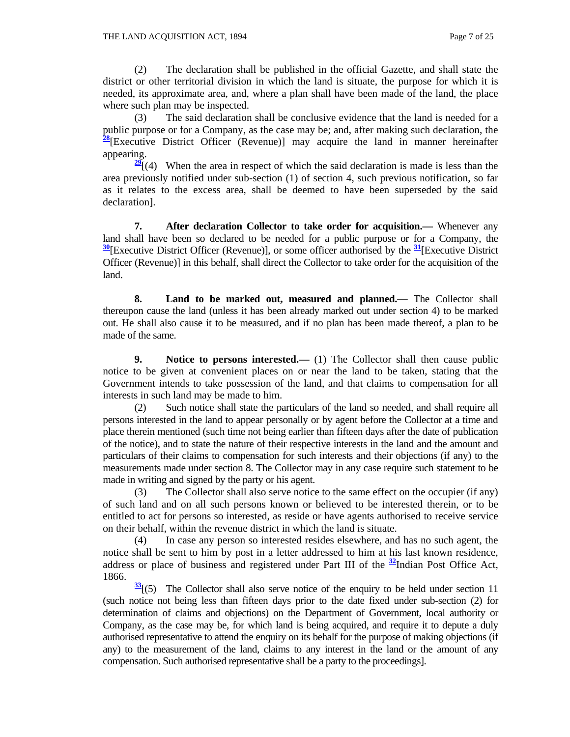(2) The declaration shall be published in the official Gazette, and shall state the district or other territorial division in which the land is situate, the purpose for which it is needed, its approximate area, and, where a plan shall have been made of the land, the place where such plan may be inspected.

 (3) The said declaration shall be conclusive evidence that the land is needed for a public purpose or for a Company, as the case may be; and, after making such declaration, the **<sup>28</sup>**[Executive District Officer (Revenue)] may acquire the land in manner hereinafter appearing.

 $\frac{29}{2}$ [(4) When the area in respect of which the said declaration is made is less than the area previously notified under sub-section (1) of section 4, such previous notification, so far as it relates to the excess area, shall be deemed to have been superseded by the said declaration].

 **7. After declaration Collector to take order for acquisition.—** Whenever any land shall have been so declared to be needed for a public purpose or for a Company, the **<sup>30</sup>**[Executive District Officer (Revenue)], or some officer authorised by the **<sup>31</sup>**[Executive District Officer (Revenue)] in this behalf, shall direct the Collector to take order for the acquisition of the land.

 **8. Land to be marked out, measured and planned.—** The Collector shall thereupon cause the land (unless it has been already marked out under section 4) to be marked out. He shall also cause it to be measured, and if no plan has been made thereof, a plan to be made of the same.

**9.** Notice to persons interested.— (1) The Collector shall then cause public notice to be given at convenient places on or near the land to be taken, stating that the Government intends to take possession of the land, and that claims to compensation for all interests in such land may be made to him.

 (2) Such notice shall state the particulars of the land so needed, and shall require all persons interested in the land to appear personally or by agent before the Collector at a time and place therein mentioned (such time not being earlier than fifteen days after the date of publication of the notice), and to state the nature of their respective interests in the land and the amount and particulars of their claims to compensation for such interests and their objections (if any) to the measurements made under section 8. The Collector may in any case require such statement to be made in writing and signed by the party or his agent.

 (3) The Collector shall also serve notice to the same effect on the occupier (if any) of such land and on all such persons known or believed to be interested therein, or to be entitled to act for persons so interested, as reside or have agents authorised to receive service on their behalf, within the revenue district in which the land is situate.

 (4) In case any person so interested resides elsewhere, and has no such agent, the notice shall be sent to him by post in a letter addressed to him at his last known residence, address or place of business and registered under Part III of the **<sup>32</sup>**Indian Post Office Act, 1866.

 $\frac{33}{2}$ [(5) The Collector shall also serve notice of the enquiry to be held under section 11 (such notice not being less than fifteen days prior to the date fixed under sub-section (2) for determination of claims and objections) on the Department of Government, local authority or Company, as the case may be, for which land is being acquired, and require it to depute a duly authorised representative to attend the enquiry on its behalf for the purpose of making objections (if any) to the measurement of the land, claims to any interest in the land or the amount of any compensation. Such authorised representative shall be a party to the proceedings].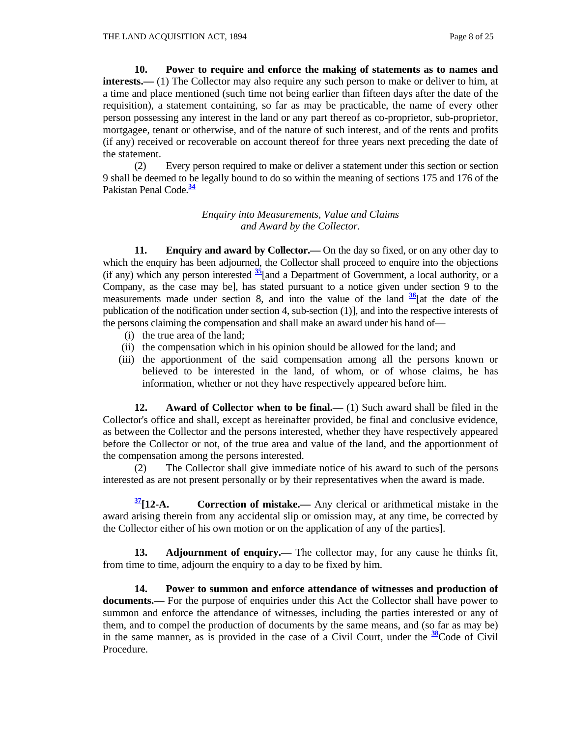**10. Power to require and enforce the making of statements as to names and interests.**—(1) The Collector may also require any such person to make or deliver to him, at a time and place mentioned (such time not being earlier than fifteen days after the date of the requisition), a statement containing, so far as may be practicable, the name of every other person possessing any interest in the land or any part thereof as co-proprietor, sub-proprietor, mortgagee, tenant or otherwise, and of the nature of such interest, and of the rents and profits (if any) received or recoverable on account thereof for three years next preceding the date of the statement.

 (2) Every person required to make or deliver a statement under this section or section 9 shall be deemed to be legally bound to do so within the meaning of sections 175 and 176 of the Pakistan Penal Code.**<sup>34</sup>**

> *Enquiry into Measurements, Value and Claims and Award by the Collector.*

 **11. Enquiry and award by Collector.—** On the day so fixed, or on any other day to which the enquiry has been adjourned, the Collector shall proceed to enquire into the objections (if any) which any person interested **<sup>35</sup>**[and a Department of Government, a local authority, or a Company, as the case may be], has stated pursuant to a notice given under section 9 to the measurements made under section 8, and into the value of the land  $\frac{36}{ }$  [at the date of the publication of the notification under section 4, sub-section (1)], and into the respective interests of the persons claiming the compensation and shall make an award under his hand of—

- (i) the true area of the land;
- (ii) the compensation which in his opinion should be allowed for the land; and
- (iii) the apportionment of the said compensation among all the persons known or believed to be interested in the land, of whom, or of whose claims, he has information, whether or not they have respectively appeared before him.

**12.** Award of Collector when to be final.— (1) Such award shall be filed in the Collector's office and shall, except as hereinafter provided, be final and conclusive evidence, as between the Collector and the persons interested, whether they have respectively appeared before the Collector or not, of the true area and value of the land, and the apportionment of the compensation among the persons interested.

 (2) The Collector shall give immediate notice of his award to such of the persons interested as are not present personally or by their representatives when the award is made.

**37[12-A. Correction of mistake.—** Any clerical or arithmetical mistake in the award arising therein from any accidental slip or omission may, at any time, be corrected by the Collector either of his own motion or on the application of any of the parties].

**13. Adjournment of enquiry.**— The collector may, for any cause he thinks fit, from time to time, adjourn the enquiry to a day to be fixed by him.

 **14. Power to summon and enforce attendance of witnesses and production of documents.—** For the purpose of enquiries under this Act the Collector shall have power to summon and enforce the attendance of witnesses, including the parties interested or any of them, and to compel the production of documents by the same means, and (so far as may be) in the same manner, as is provided in the case of a Civil Court, under the **<sup>38</sup>**Code of Civil Procedure.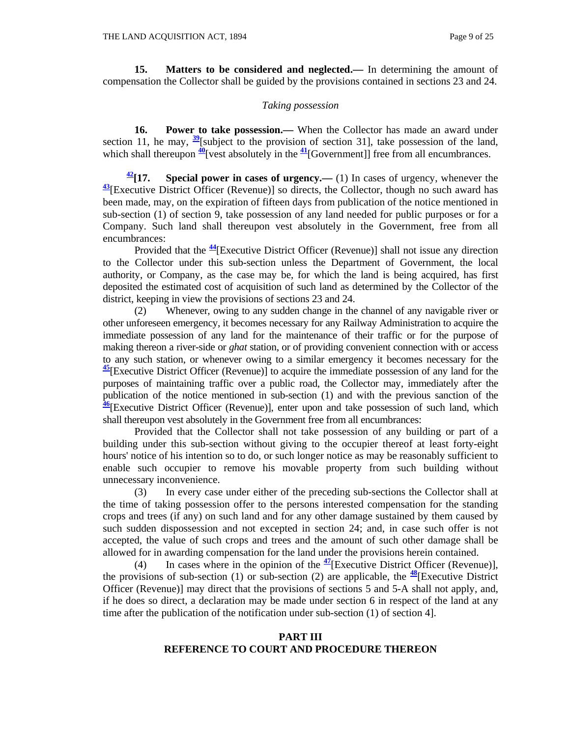**15.** Matters to be considered and neglected.— In determining the amount of compensation the Collector shall be guided by the provisions contained in sections 23 and 24.

#### *Taking possession*

**16.** Power to take possession.— When the Collector has made an award under section 11, he may,  $\frac{39}{2}$ [subject to the provision of section 31], take possession of the land, which shall thereupon  $\frac{40}{1}$  [vest absolutely in the  $\frac{41}{1}$  [Government]] free from all encumbrances.

 $\frac{42}{17}$ **. Special power in cases of urgency.—** (1) In cases of urgency, whenever the **<sup>43</sup>**[Executive District Officer (Revenue)] so directs, the Collector, though no such award has been made, may, on the expiration of fifteen days from publication of the notice mentioned in sub-section (1) of section 9, take possession of any land needed for public purposes or for a Company. Such land shall thereupon vest absolutely in the Government, free from all encumbrances:

 Provided that the **<sup>44</sup>**[Executive District Officer (Revenue)] shall not issue any direction to the Collector under this sub-section unless the Department of Government, the local authority, or Company, as the case may be, for which the land is being acquired, has first deposited the estimated cost of acquisition of such land as determined by the Collector of the district, keeping in view the provisions of sections 23 and 24.

 (2) Whenever, owing to any sudden change in the channel of any navigable river or other unforeseen emergency, it becomes necessary for any Railway Administration to acquire the immediate possession of any land for the maintenance of their traffic or for the purpose of making thereon a river-side or *ghat* station, or of providing convenient connection with or access to any such station, or whenever owing to a similar emergency it becomes necessary for the **<sup>45</sup>**[Executive District Officer (Revenue)] to acquire the immediate possession of any land for the purposes of maintaining traffic over a public road, the Collector may, immediately after the publication of the notice mentioned in sub-section (1) and with the previous sanction of the **<sup>46</sup>**[Executive District Officer (Revenue)], enter upon and take possession of such land, which shall thereupon vest absolutely in the Government free from all encumbrances:

 Provided that the Collector shall not take possession of any building or part of a building under this sub-section without giving to the occupier thereof at least forty-eight hours' notice of his intention so to do, or such longer notice as may be reasonably sufficient to enable such occupier to remove his movable property from such building without unnecessary inconvenience.

 (3) In every case under either of the preceding sub-sections the Collector shall at the time of taking possession offer to the persons interested compensation for the standing crops and trees (if any) on such land and for any other damage sustained by them caused by such sudden dispossession and not excepted in section 24; and, in case such offer is not accepted, the value of such crops and trees and the amount of such other damage shall be allowed for in awarding compensation for the land under the provisions herein contained.

 (4) In cases where in the opinion of the **<sup>47</sup>**[Executive District Officer (Revenue)], the provisions of sub-section (1) or sub-section (2) are applicable, the  $\frac{48}{3}$ [Executive District Officer (Revenue)] may direct that the provisions of sections 5 and 5-A shall not apply, and, if he does so direct, a declaration may be made under section 6 in respect of the land at any time after the publication of the notification under sub-section (1) of section 4].

#### **PART III REFERENCE TO COURT AND PROCEDURE THEREON**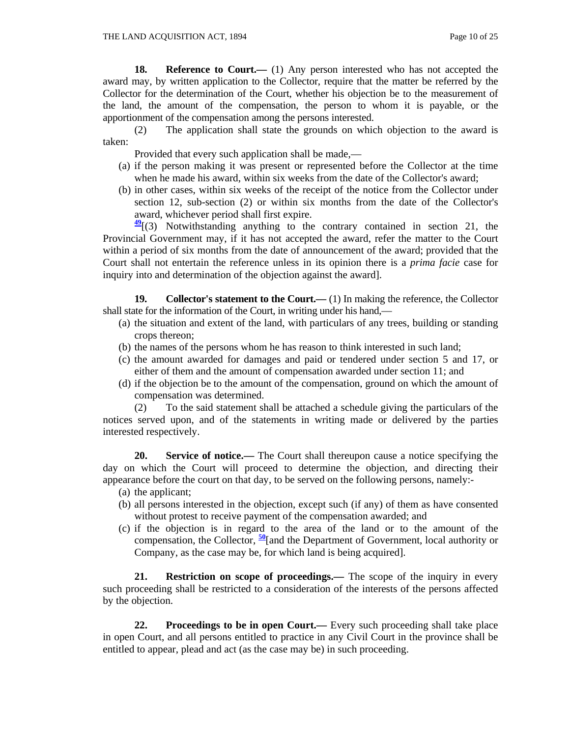**18. Reference to Court.—** (1) Any person interested who has not accepted the award may, by written application to the Collector, require that the matter be referred by the Collector for the determination of the Court, whether his objection be to the measurement of the land, the amount of the compensation, the person to whom it is payable, or the apportionment of the compensation among the persons interested.

 (2) The application shall state the grounds on which objection to the award is taken:

Provided that every such application shall be made,—

- (a) if the person making it was present or represented before the Collector at the time when he made his award, within six weeks from the date of the Collector's award;
- (b) in other cases, within six weeks of the receipt of the notice from the Collector under section 12, sub-section (2) or within six months from the date of the Collector's award, whichever period shall first expire.

**<sup>49</sup>**[(3) Notwithstanding anything to the contrary contained in section 21, the Provincial Government may, if it has not accepted the award, refer the matter to the Court within a period of six months from the date of announcement of the award; provided that the Court shall not entertain the reference unless in its opinion there is a *prima facie* case for inquiry into and determination of the objection against the award].

**19.** Collector's statement to the Court.—(1) In making the reference, the Collector shall state for the information of the Court, in writing under his hand,—

- (a) the situation and extent of the land, with particulars of any trees, building or standing crops thereon;
- (b) the names of the persons whom he has reason to think interested in such land;
- (c) the amount awarded for damages and paid or tendered under section 5 and 17, or either of them and the amount of compensation awarded under section 11; and
- (d) if the objection be to the amount of the compensation, ground on which the amount of compensation was determined.

 (2) To the said statement shall be attached a schedule giving the particulars of the notices served upon, and of the statements in writing made or delivered by the parties interested respectively.

 **20. Service of notice.—** The Court shall thereupon cause a notice specifying the day on which the Court will proceed to determine the objection, and directing their appearance before the court on that day, to be served on the following persons, namely:-

- (a) the applicant;
- (b) all persons interested in the objection, except such (if any) of them as have consented without protest to receive payment of the compensation awarded; and
- (c) if the objection is in regard to the area of the land or to the amount of the compensation, the Collector, **<sup>50</sup>**[and the Department of Government, local authority or Company, as the case may be, for which land is being acquired].

 **21. Restriction on scope of proceedings.—** The scope of the inquiry in every such proceeding shall be restricted to a consideration of the interests of the persons affected by the objection.

**22. Proceedings to be in open Court.—** Every such proceeding shall take place in open Court, and all persons entitled to practice in any Civil Court in the province shall be entitled to appear, plead and act (as the case may be) in such proceeding.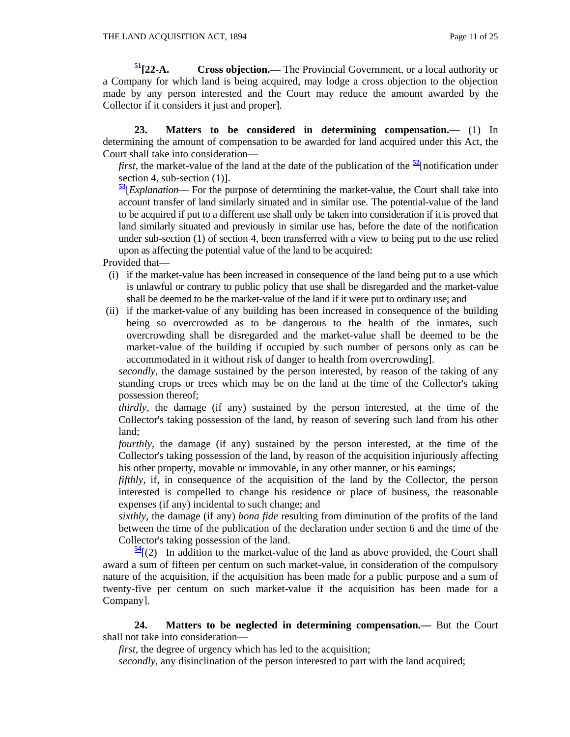**51[22-A. Cross objection.—** The Provincial Government, or a local authority or a Company for which land is being acquired, may lodge a cross objection to the objection made by any person interested and the Court may reduce the amount awarded by the Collector if it considers it just and proper].

 **23. Matters to be considered in determining compensation.—** (1) In determining the amount of compensation to be awarded for land acquired under this Act, the Court shall take into consideration—

*first,* the market-value of the land at the date of the publication of the  $\frac{52}{2}$ [notification under section 4, sub-section  $(1)$ ].

**<sup>53</sup>**[*Explanation*— For the purpose of determining the market-value, the Court shall take into account transfer of land similarly situated and in similar use. The potential-value of the land to be acquired if put to a different use shall only be taken into consideration if it is proved that land similarly situated and previously in similar use has, before the date of the notification under sub-section (1) of section 4, been transferred with a view to being put to the use relied upon as affecting the potential value of the land to be acquired:

Provided that—

- (i) if the market-value has been increased in consequence of the land being put to a use which is unlawful or contrary to public policy that use shall be disregarded and the market-value shall be deemed to be the market-value of the land if it were put to ordinary use; and
- (ii) if the market-value of any building has been increased in consequence of the building being so overcrowded as to be dangerous to the health of the inmates, such overcrowding shall be disregarded and the market-value shall be deemed to be the market-value of the building if occupied by such number of persons only as can be accommodated in it without risk of danger to health from overcrowding].

 *secondly,* the damage sustained by the person interested, by reason of the taking of any standing crops or trees which may be on the land at the time of the Collector's taking possession thereof;

 *thirdly,* the damage (if any) sustained by the person interested, at the time of the Collector's taking possession of the land, by reason of severing such land from his other land;

*fourthly*, the damage (if any) sustained by the person interested, at the time of the Collector's taking possession of the land, by reason of the acquisition injuriously affecting his other property, movable or immovable, in any other manner, or his earnings;

*fifthly*, if, in consequence of the acquisition of the land by the Collector, the person interested is compelled to change his residence or place of business, the reasonable expenses (if any) incidental to such change; and

 *sixthly,* the damage (if any) *bona fide* resulting from diminution of the profits of the land between the time of the publication of the declaration under section 6 and the time of the Collector's taking possession of the land.

 $\frac{54}{2}$ (2) In addition to the market-value of the land as above provided, the Court shall award a sum of fifteen per centum on such market-value, in consideration of the compulsory nature of the acquisition, if the acquisition has been made for a public purpose and a sum of twenty-five per centum on such market-value if the acquisition has been made for a Company].

 **24. Matters to be neglected in determining compensation.—** But the Court shall not take into consideration—

 *first,* the degree of urgency which has led to the acquisition;

 *secondly,* any disinclination of the person interested to part with the land acquired;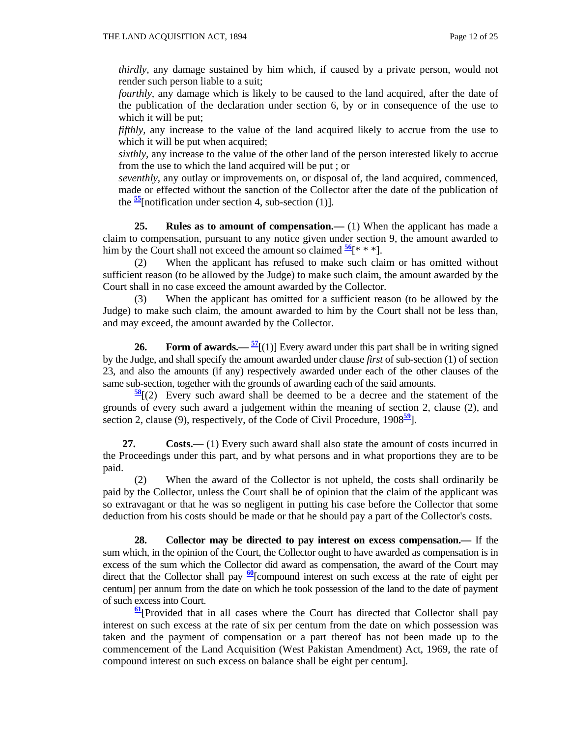*thirdly*, any damage sustained by him which, if caused by a private person, would not render such person liable to a suit;

*fourthly*, any damage which is likely to be caused to the land acquired, after the date of the publication of the declaration under section 6, by or in consequence of the use to which it will be put;

*fifthly*, any increase to the value of the land acquired likely to accrue from the use to which it will be put when acquired;

 *sixthly,* any increase to the value of the other land of the person interested likely to accrue from the use to which the land acquired will be put ; or

 *seventhly,* any outlay or improvements on, or disposal of, the land acquired, commenced, made or effected without the sanction of the Collector after the date of the publication of the  $\frac{55}{2}$ [notification under section 4, sub-section (1)].

 **25. Rules as to amount of compensation.—** (1) When the applicant has made a claim to compensation, pursuant to any notice given under section 9, the amount awarded to him by the Court shall not exceed the amount so claimed  $\frac{56}{5}$ [\* \* \*].

 (2) When the applicant has refused to make such claim or has omitted without sufficient reason (to be allowed by the Judge) to make such claim, the amount awarded by the Court shall in no case exceed the amount awarded by the Collector.

 (3) When the applicant has omitted for a sufficient reason (to be allowed by the Judge) to make such claim, the amount awarded to him by the Court shall not be less than, and may exceed, the amount awarded by the Collector.

**26.** Form of awards.— $\frac{57}{2}$ [(1)] Every award under this part shall be in writing signed by the Judge, and shall specify the amount awarded under clause *first* of sub-section (1) of section 23, and also the amounts (if any) respectively awarded under each of the other clauses of the same sub-section, together with the grounds of awarding each of the said amounts.

**<sup>58</sup>**[(2) Every such award shall be deemed to be a decree and the statement of the grounds of every such award a judgement within the meaning of section 2, clause (2), and section 2, clause (9), respectively, of the Code of Civil Procedure, 1908**<sup>59</sup>**].

**27. Costs.**—— (1) Every such award shall also state the amount of costs incurred in the Proceedings under this part, and by what persons and in what proportions they are to be paid.

 (2) When the award of the Collector is not upheld, the costs shall ordinarily be paid by the Collector, unless the Court shall be of opinion that the claim of the applicant was so extravagant or that he was so negligent in putting his case before the Collector that some deduction from his costs should be made or that he should pay a part of the Collector's costs.

 **28. Collector may be directed to pay interest on excess compensation.—** If the sum which, in the opinion of the Court, the Collector ought to have awarded as compensation is in excess of the sum which the Collector did award as compensation, the award of the Court may direct that the Collector shall pay  $\frac{60}{2}$ [compound interest on such excess at the rate of eight per centum] per annum from the date on which he took possession of the land to the date of payment of such excess into Court.

**<sup>61</sup>**[Provided that in all cases where the Court has directed that Collector shall pay interest on such excess at the rate of six per centum from the date on which possession was taken and the payment of compensation or a part thereof has not been made up to the commencement of the Land Acquisition (West Pakistan Amendment) Act, 1969, the rate of compound interest on such excess on balance shall be eight per centum].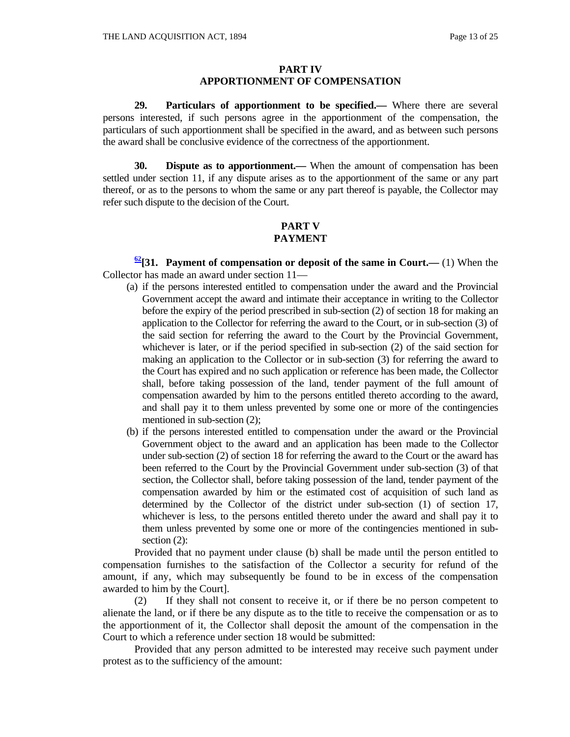#### **PART IV APPORTIONMENT OF COMPENSATION**

 **29. Particulars of apportionment to be specified.—** Where there are several persons interested, if such persons agree in the apportionment of the compensation, the particulars of such apportionment shall be specified in the award, and as between such persons the award shall be conclusive evidence of the correctness of the apportionment.

 **30. Dispute as to apportionment.—** When the amount of compensation has been settled under section 11, if any dispute arises as to the apportionment of the same or any part thereof, or as to the persons to whom the same or any part thereof is payable, the Collector may refer such dispute to the decision of the Court.

#### **PART V PAYMENT**

**62[31. Payment of compensation or deposit of the same in Court.—** (1) When the Collector has made an award under section 11—

- (a) if the persons interested entitled to compensation under the award and the Provincial Government accept the award and intimate their acceptance in writing to the Collector before the expiry of the period prescribed in sub-section (2) of section 18 for making an application to the Collector for referring the award to the Court, or in sub-section (3) of the said section for referring the award to the Court by the Provincial Government, whichever is later, or if the period specified in sub-section (2) of the said section for making an application to the Collector or in sub-section (3) for referring the award to the Court has expired and no such application or reference has been made, the Collector shall, before taking possession of the land, tender payment of the full amount of compensation awarded by him to the persons entitled thereto according to the award, and shall pay it to them unless prevented by some one or more of the contingencies mentioned in sub-section (2);
- (b) if the persons interested entitled to compensation under the award or the Provincial Government object to the award and an application has been made to the Collector under sub-section (2) of section 18 for referring the award to the Court or the award has been referred to the Court by the Provincial Government under sub-section (3) of that section, the Collector shall, before taking possession of the land, tender payment of the compensation awarded by him or the estimated cost of acquisition of such land as determined by the Collector of the district under sub-section (1) of section 17, whichever is less, to the persons entitled thereto under the award and shall pay it to them unless prevented by some one or more of the contingencies mentioned in subsection  $(2)$ :

 Provided that no payment under clause (b) shall be made until the person entitled to compensation furnishes to the satisfaction of the Collector a security for refund of the amount, if any, which may subsequently be found to be in excess of the compensation awarded to him by the Court].

 (2) If they shall not consent to receive it, or if there be no person competent to alienate the land, or if there be any dispute as to the title to receive the compensation or as to the apportionment of it, the Collector shall deposit the amount of the compensation in the Court to which a reference under section 18 would be submitted:

 Provided that any person admitted to be interested may receive such payment under protest as to the sufficiency of the amount: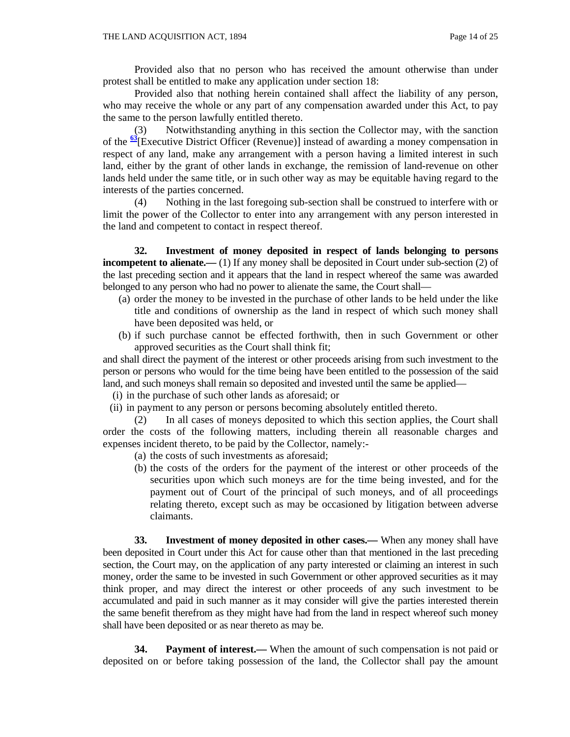Provided also that no person who has received the amount otherwise than under protest shall be entitled to make any application under section 18:

 Provided also that nothing herein contained shall affect the liability of any person, who may receive the whole or any part of any compensation awarded under this Act, to pay the same to the person lawfully entitled thereto.

 (3) Notwithstanding anything in this section the Collector may, with the sanction of the **<sup>63</sup>**[Executive District Officer (Revenue)] instead of awarding a money compensation in respect of any land, make any arrangement with a person having a limited interest in such land, either by the grant of other lands in exchange, the remission of land-revenue on other lands held under the same title, or in such other way as may be equitable having regard to the interests of the parties concerned.

 (4) Nothing in the last foregoing sub-section shall be construed to interfere with or limit the power of the Collector to enter into any arrangement with any person interested in the land and competent to contact in respect thereof.

 **32. Investment of money deposited in respect of lands belonging to persons incompetent to alienate.**—(1) If any money shall be deposited in Court under sub-section (2) of the last preceding section and it appears that the land in respect whereof the same was awarded belonged to any person who had no power to alienate the same, the Court shall—

- (a) order the money to be invested in the purchase of other lands to be held under the like title and conditions of ownership as the land in respect of which such money shall have been deposited was held, or
- (b) if such purchase cannot be effected forthwith, then in such Government or other approved securities as the Court shall think fit;

and shall direct the payment of the interest or other proceeds arising from such investment to the person or persons who would for the time being have been entitled to the possession of the said land, and such moneys shall remain so deposited and invested until the same be applied—

- (i) in the purchase of such other lands as aforesaid; or
- (ii) in payment to any person or persons becoming absolutely entitled thereto.

 (2) In all cases of moneys deposited to which this section applies, the Court shall order the costs of the following matters, including therein all reasonable charges and expenses incident thereto, to be paid by the Collector, namely:-

- (a) the costs of such investments as aforesaid;
- (b) the costs of the orders for the payment of the interest or other proceeds of the securities upon which such moneys are for the time being invested, and for the payment out of Court of the principal of such moneys, and of all proceedings relating thereto, except such as may be occasioned by litigation between adverse claimants.

 **33. Investment of money deposited in other cases.—** When any money shall have been deposited in Court under this Act for cause other than that mentioned in the last preceding section, the Court may, on the application of any party interested or claiming an interest in such money, order the same to be invested in such Government or other approved securities as it may think proper, and may direct the interest or other proceeds of any such investment to be accumulated and paid in such manner as it may consider will give the parties interested therein the same benefit therefrom as they might have had from the land in respect whereof such money shall have been deposited or as near thereto as may be.

**34.** Payment of interest.— When the amount of such compensation is not paid or deposited on or before taking possession of the land, the Collector shall pay the amount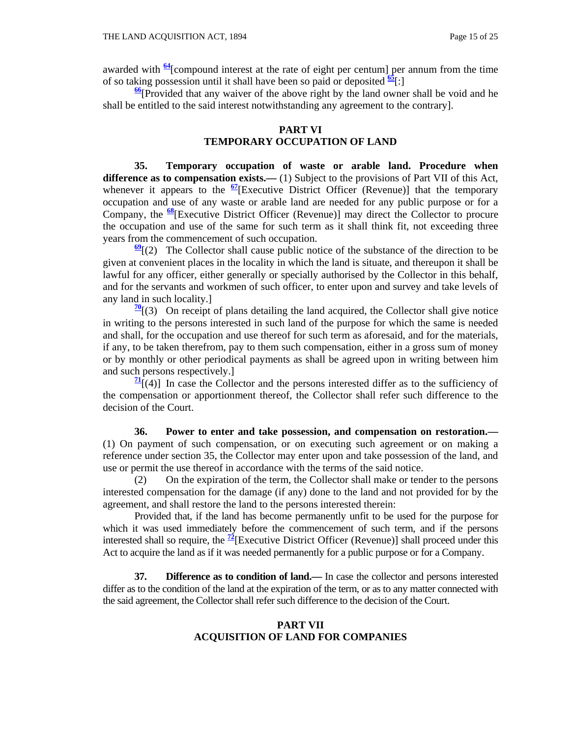awarded with **<sup>64</sup>**[compound interest at the rate of eight per centum] per annum from the time of so taking possession until it shall have been so paid or deposited  $\frac{65}{5}$ [:]

**<sup>66</sup>**[Provided that any waiver of the above right by the land owner shall be void and he shall be entitled to the said interest notwithstanding any agreement to the contrary].

## **PART VI**

## **TEMPORARY OCCUPATION OF LAND**

 **35. Temporary occupation of waste or arable land. Procedure when difference as to compensation exists.—** (1) Subject to the provisions of Part VII of this Act, whenever it appears to the <sup>67</sup>[Executive District Officer (Revenue)] that the temporary occupation and use of any waste or arable land are needed for any public purpose or for a Company, the **<sup>68</sup>**[Executive District Officer (Revenue)] may direct the Collector to procure the occupation and use of the same for such term as it shall think fit, not exceeding three years from the commencement of such occupation.

**<sup>69</sup>**[(2) The Collector shall cause public notice of the substance of the direction to be given at convenient places in the locality in which the land is situate, and thereupon it shall be lawful for any officer, either generally or specially authorised by the Collector in this behalf, and for the servants and workmen of such officer, to enter upon and survey and take levels of any land in such locality.]

 $\frac{70}{1}$ [(3) On receipt of plans detailing the land acquired, the Collector shall give notice in writing to the persons interested in such land of the purpose for which the same is needed and shall, for the occupation and use thereof for such term as aforesaid, and for the materials, if any, to be taken therefrom, pay to them such compensation, either in a gross sum of money or by monthly or other periodical payments as shall be agreed upon in writing between him and such persons respectively.]

 $\frac{71}{2}$ [(4)] In case the Collector and the persons interested differ as to the sufficiency of the compensation or apportionment thereof, the Collector shall refer such difference to the decision of the Court.

 **36. Power to enter and take possession, and compensation on restoration.—** (1) On payment of such compensation, or on executing such agreement or on making a reference under section 35, the Collector may enter upon and take possession of the land, and use or permit the use thereof in accordance with the terms of the said notice.

 (2) On the expiration of the term, the Collector shall make or tender to the persons interested compensation for the damage (if any) done to the land and not provided for by the agreement, and shall restore the land to the persons interested therein:

 Provided that, if the land has become permanently unfit to be used for the purpose for which it was used immediately before the commencement of such term, and if the persons interested shall so require, the  $\frac{72}{2}$ [Executive District Officer (Revenue)] shall proceed under this Act to acquire the land as if it was needed permanently for a public purpose or for a Company.

 **37. Difference as to condition of land.—** In case the collector and persons interested differ as to the condition of the land at the expiration of the term, or as to any matter connected with the said agreement, the Collector shall refer such difference to the decision of the Court.

#### **PART VII ACQUISITION OF LAND FOR COMPANIES**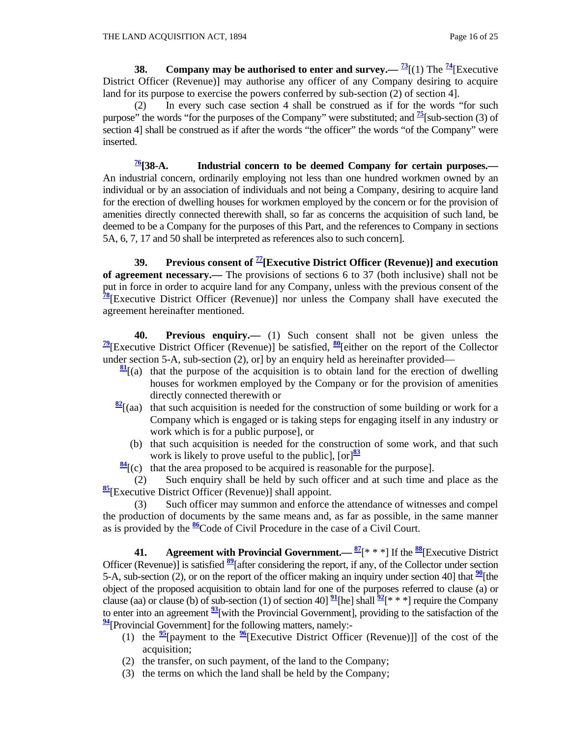**38.** Company may be authorised to enter and survey.—  $\frac{73}{1}$ [1] The  $\frac{74}{1}$ [Executive District Officer (Revenue)] may authorise any officer of any Company desiring to acquire land for its purpose to exercise the powers conferred by sub-section (2) of section 4].

 (2) In every such case section 4 shall be construed as if for the words "for such purpose" the words "for the purposes of the Company" were substituted; and **<sup>75</sup>**[sub-section (3) of section 4] shall be construed as if after the words "the officer" the words "of the Company" were inserted.

**76[38-A. Industrial concern to be deemed Company for certain purposes.—** An industrial concern, ordinarily employing not less than one hundred workmen owned by an individual or by an association of individuals and not being a Company, desiring to acquire land for the erection of dwelling houses for workmen employed by the concern or for the provision of amenities directly connected therewith shall, so far as concerns the acquisition of such land, be deemed to be a Company for the purposes of this Part, and the references to Company in sections 5A, 6, 7, 17 and 50 shall be interpreted as references also to such concern].

 **39. Previous consent of 77[Executive District Officer (Revenue)] and execution of agreement necessary.—** The provisions of sections 6 to 37 (both inclusive) shall not be put in force in order to acquire land for any Company, unless with the previous consent of the **<sup>78</sup>**[Executive District Officer (Revenue)] nor unless the Company shall have executed the agreement hereinafter mentioned.

 **40. Previous enquiry.—** (1) Such consent shall not be given unless the **<sup>79</sup>**[Executive District Officer (Revenue)] be satisfied, **<sup>80</sup>**[either on the report of the Collector under section 5-A, sub-section (2), or] by an enquiry held as hereinafter provided—

- $\frac{81}{2}$ [(a) that the purpose of the acquisition is to obtain land for the erection of dwelling houses for workmen employed by the Company or for the provision of amenities directly connected therewith or
- $\frac{82}{2}$ [(aa) that such acquisition is needed for the construction of some building or work for a Company which is engaged or is taking steps for engaging itself in any industry or work which is for a public purpose], or
	- (b) that such acquisition is needed for the construction of some work, and that such work is likely to prove useful to the public],  $[\text{or}]^{\frac{83}{2}}$
- **<sup>84</sup>**[(c) that the area proposed to be acquired is reasonable for the purpose].

 (2) Such enquiry shall be held by such officer and at such time and place as the **<sup>85</sup>**[Executive District Officer (Revenue)] shall appoint.

 (3) Such officer may summon and enforce the attendance of witnesses and compel the production of documents by the same means and, as far as possible, in the same manner as is provided by the **<sup>86</sup>**Code of Civil Procedure in the case of a Civil Court.

 **41. Agreement with Provincial Government.— <sup>87</sup>**[\* \* \*] If the **<sup>88</sup>**[Executive District Officer (Revenue)] is satisfied **<sup>89</sup>**[after considering the report, if any, of the Collector under section 5-A, sub-section (2), or on the report of the officer making an inquiry under section 40] that  $\frac{90}{1}$ [the object of the proposed acquisition to obtain land for one of the purposes referred to clause (a) or clause (aa) or clause (b) of sub-section (1) of section 40]  $\frac{91}{2}$ [he] shall  $\frac{92}{5}$ [\* \* \*] require the Company to enter into an agreement **<sup>93</sup>**[with the Provincial Government], providing to the satisfaction of the **<sup>94</sup>**[Provincial Government] for the following matters, namely:-

- (1) the  $\frac{95}{2}$ [payment to the  $\frac{96}{2}$ [Executive District Officer (Revenue)]] of the cost of the acquisition;
- (2) the transfer, on such payment, of the land to the Company;
- (3) the terms on which the land shall be held by the Company;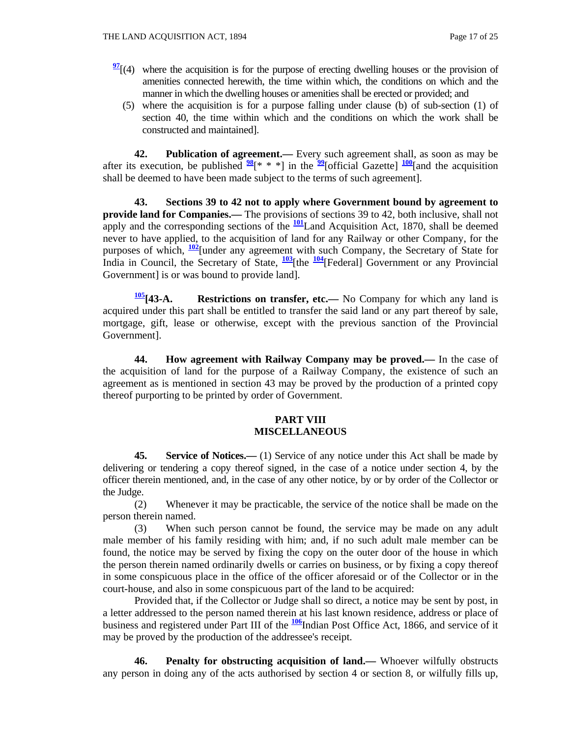- $\frac{97}{2}$ [(4) where the acquisition is for the purpose of erecting dwelling houses or the provision of amenities connected herewith, the time within which, the conditions on which and the manner in which the dwelling houses or amenities shall be erected or provided; and
	- (5) where the acquisition is for a purpose falling under clause (b) of sub-section (1) of section 40, the time within which and the conditions on which the work shall be constructed and maintained].

 **42. Publication of agreement.—** Every such agreement shall, as soon as may be after its execution, be published  $\frac{98}{8}$ <sup>\*</sup> \* \*] in the  $\frac{99}{8}$ [official Gazette]  $\frac{100}{8}$ [and the acquisition shall be deemed to have been made subject to the terms of such agreement].

 **43. Sections 39 to 42 not to apply where Government bound by agreement to provide land for Companies.—** The provisions of sections 39 to 42, both inclusive, shall not apply and the corresponding sections of the  $\frac{101}{2}$ Land Acquisition Act, 1870, shall be deemed never to have applied, to the acquisition of land for any Railway or other Company, for the purposes of which, **<sup>102</sup>**[under any agreement with such Company, the Secretary of State for India in Council, the Secretary of State, **<sup>103</sup>**[the **<sup>104</sup>**[Federal] Government or any Provincial Government] is or was bound to provide land].

**105[43-A. Restrictions on transfer, etc.—** No Company for which any land is acquired under this part shall be entitled to transfer the said land or any part thereof by sale, mortgage, gift, lease or otherwise, except with the previous sanction of the Provincial Government].

 **44. How agreement with Railway Company may be proved.—** In the case of the acquisition of land for the purpose of a Railway Company, the existence of such an agreement as is mentioned in section 43 may be proved by the production of a printed copy thereof purporting to be printed by order of Government.

#### **PART VIII MISCELLANEOUS**

**45.** Service of Notices.—— (1) Service of any notice under this Act shall be made by delivering or tendering a copy thereof signed, in the case of a notice under section 4, by the officer therein mentioned, and, in the case of any other notice, by or by order of the Collector or the Judge.

 (2) Whenever it may be practicable, the service of the notice shall be made on the person therein named.

 (3) When such person cannot be found, the service may be made on any adult male member of his family residing with him; and, if no such adult male member can be found, the notice may be served by fixing the copy on the outer door of the house in which the person therein named ordinarily dwells or carries on business, or by fixing a copy thereof in some conspicuous place in the office of the officer aforesaid or of the Collector or in the court-house, and also in some conspicuous part of the land to be acquired:

 Provided that, if the Collector or Judge shall so direct, a notice may be sent by post, in a letter addressed to the person named therein at his last known residence, address or place of business and registered under Part III of the **<sup>106</sup>**Indian Post Office Act, 1866, and service of it may be proved by the production of the addressee's receipt.

 **46. Penalty for obstructing acquisition of land.—** Whoever wilfully obstructs any person in doing any of the acts authorised by section 4 or section 8, or wilfully fills up,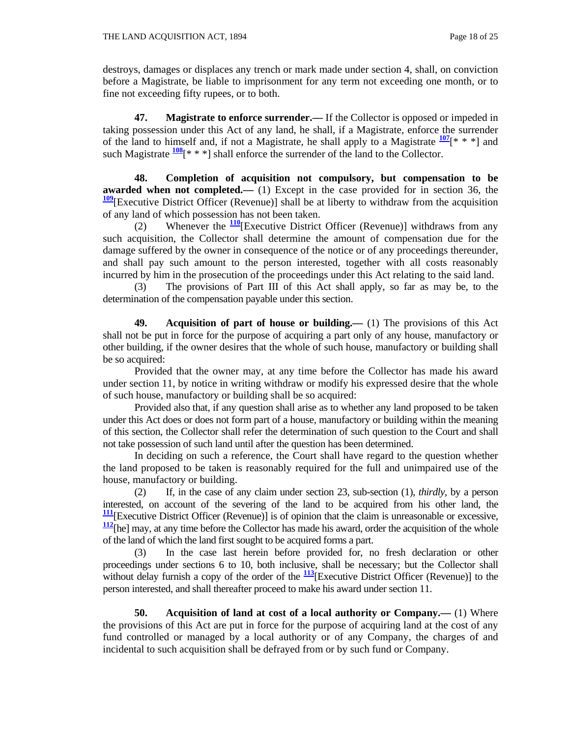destroys, damages or displaces any trench or mark made under section 4, shall, on conviction before a Magistrate, be liable to imprisonment for any term not exceeding one month, or to fine not exceeding fifty rupees, or to both.

 **47. Magistrate to enforce surrender.—** If the Collector is opposed or impeded in taking possession under this Act of any land, he shall, if a Magistrate, enforce the surrender of the land to himself and, if not a Magistrate, he shall apply to a Magistrate  $\frac{107}{100}$ [\* \* \*] and such Magistrate  $\frac{108}{8}$ [\* \* \*] shall enforce the surrender of the land to the Collector.

 **48. Completion of acquisition not compulsory, but compensation to be awarded when not completed.—** (1) Except in the case provided for in section 36, the **<sup>109</sup>**[Executive District Officer (Revenue)] shall be at liberty to withdraw from the acquisition of any land of which possession has not been taken.

 (2) Whenever the **<sup>110</sup>**[Executive District Officer (Revenue)] withdraws from any such acquisition, the Collector shall determine the amount of compensation due for the damage suffered by the owner in consequence of the notice or of any proceedings thereunder, and shall pay such amount to the person interested, together with all costs reasonably incurred by him in the prosecution of the proceedings under this Act relating to the said land.

 (3) The provisions of Part III of this Act shall apply, so far as may be, to the determination of the compensation payable under this section.

 **49. Acquisition of part of house or building.—** (1) The provisions of this Act shall not be put in force for the purpose of acquiring a part only of any house, manufactory or other building, if the owner desires that the whole of such house, manufactory or building shall be so acquired:

 Provided that the owner may, at any time before the Collector has made his award under section 11, by notice in writing withdraw or modify his expressed desire that the whole of such house, manufactory or building shall be so acquired:

 Provided also that, if any question shall arise as to whether any land proposed to be taken under this Act does or does not form part of a house, manufactory or building within the meaning of this section, the Collector shall refer the determination of such question to the Court and shall not take possession of such land until after the question has been determined.

 In deciding on such a reference, the Court shall have regard to the question whether the land proposed to be taken is reasonably required for the full and unimpaired use of the house, manufactory or building.

 (2) If, in the case of any claim under section 23, sub-section (1), *thirdly,* by a person interested, on account of the severing of the land to be acquired from his other land, the **<sup>111</sup>**[Executive District Officer (Revenue)] is of opinion that the claim is unreasonable or excessive, **<sup>112</sup>**[he] may, at any time before the Collector has made his award, order the acquisition of the whole of the land of which the land first sought to be acquired forms a part.

 (3) In the case last herein before provided for, no fresh declaration or other proceedings under sections 6 to 10, both inclusive, shall be necessary; but the Collector shall without delay furnish a copy of the order of the  $\frac{113}{12}$ [Executive District Officer (Revenue)] to the person interested, and shall thereafter proceed to make his award under section 11.

 **50. Acquisition of land at cost of a local authority or Company.—** (1) Where the provisions of this Act are put in force for the purpose of acquiring land at the cost of any fund controlled or managed by a local authority or of any Company, the charges of and incidental to such acquisition shall be defrayed from or by such fund or Company.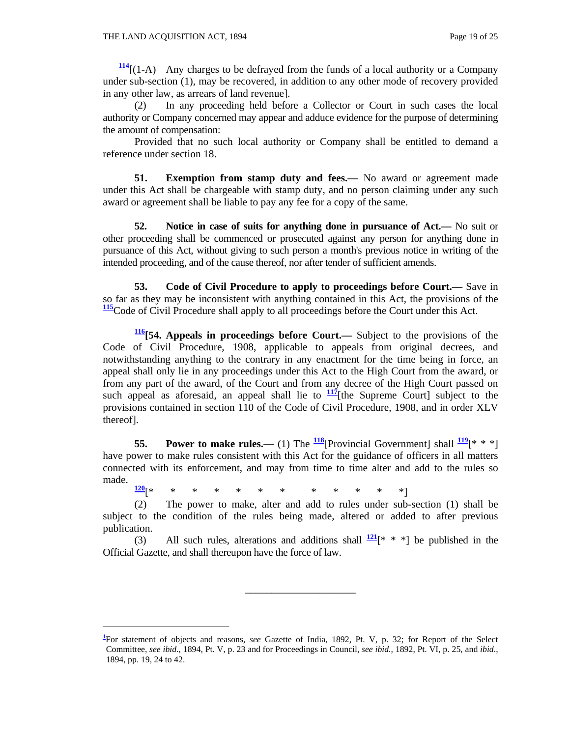$\overline{a}$ 

**<sup>114</sup>**[(1-A) Any charges to be defrayed from the funds of a local authority or a Company under sub-section (1), may be recovered, in addition to any other mode of recovery provided in any other law, as arrears of land revenue].

 (2) In any proceeding held before a Collector or Court in such cases the local authority or Company concerned may appear and adduce evidence for the purpose of determining the amount of compensation:

 Provided that no such local authority or Company shall be entitled to demand a reference under section 18.

**51. Exemption from stamp duty and fees.—** No award or agreement made under this Act shall be chargeable with stamp duty, and no person claiming under any such award or agreement shall be liable to pay any fee for a copy of the same.

 **52. Notice in case of suits for anything done in pursuance of Act.—** No suit or other proceeding shall be commenced or prosecuted against any person for anything done in pursuance of this Act, without giving to such person a month's previous notice in writing of the intended proceeding, and of the cause thereof, nor after tender of sufficient amends.

 **53. Code of Civil Procedure to apply to proceedings before Court.—** Save in so far as they may be inconsistent with anything contained in this Act, the provisions of the **<sup>115</sup>**Code of Civil Procedure shall apply to all proceedings before the Court under this Act.

**116[54. Appeals in proceedings before Court.—** Subject to the provisions of the Code of Civil Procedure, 1908, applicable to appeals from original decrees, and notwithstanding anything to the contrary in any enactment for the time being in force, an appeal shall only lie in any proceedings under this Act to the High Court from the award, or from any part of the award, of the Court and from any decree of the High Court passed on such appeal as aforesaid, an appeal shall lie to  $\frac{117}{1}$  [the Supreme Court] subject to the provisions contained in section 110 of the Code of Civil Procedure, 1908, and in order XLV thereof].

**55. Power to make rules.—** (1) The  $\frac{118}{2}$ [Provincial Government] shall  $\frac{119}{2}$ [\* \* \*] have power to make rules consistent with this Act for the guidance of officers in all matters connected with its enforcement, and may from time to time alter and add to the rules so made.

**<sup>120</sup>**[\* \* \* \* \* \* \* \* \* \* \* \*]

 (2) The power to make, alter and add to rules under sub-section (1) shall be subject to the condition of the rules being made, altered or added to after previous publication.

(3) All such rules, alterations and additions shall  $\frac{121}{x^*}$  \* \* be published in the Official Gazette, and shall thereupon have the force of law.

\_\_\_\_\_\_\_\_\_\_\_\_\_\_\_\_\_\_\_\_\_

**<sup>1</sup>** For statement of objects and reasons, *see* Gazette of India, 1892, Pt. V, p. 32; for Report of the Select Committee, *see ibid.,* 1894, Pt. V, p. 23 and for Proceedings in Council, *see ibid.,* 1892, Pt. VI, p. 25, and *ibid*., 1894, pp. 19, 24 to 42.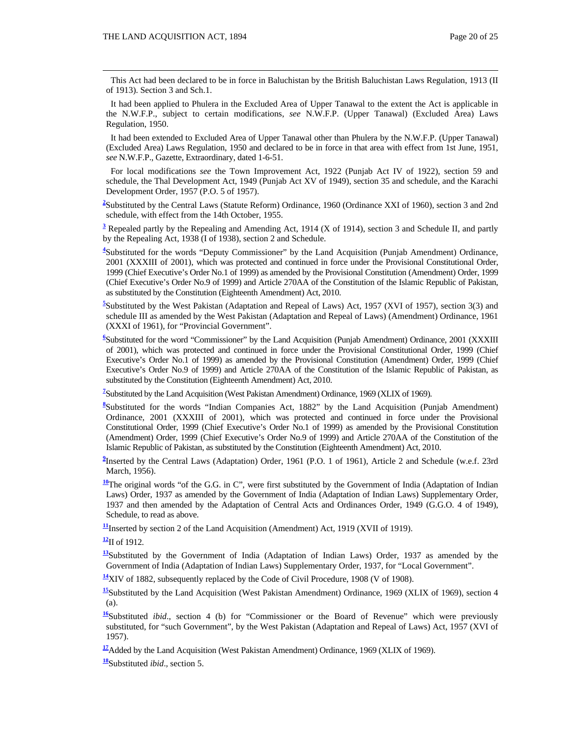This Act had been declared to be in force in Baluchistan by the British Baluchistan Laws Regulation, 1913 (II of 1913). Section 3 and Sch.1.

 It had been applied to Phulera in the Excluded Area of Upper Tanawal to the extent the Act is applicable in the N.W.F.P., subject to certain modifications, *see* N.W.F.P. (Upper Tanawal) (Excluded Area) Laws Regulation, 1950.

 It had been extended to Excluded Area of Upper Tanawal other than Phulera by the N.W.F.P. (Upper Tanawal) (Excluded Area) Laws Regulation, 1950 and declared to be in force in that area with effect from 1st June, 1951, *see* N.W.F.P., Gazette, Extraordinary, dated 1-6-51.

 For local modifications *see* the Town Improvement Act, 1922 (Punjab Act IV of 1922), section 59 and schedule, the Thal Development Act, 1949 (Punjab Act XV of 1949), section 35 and schedule, and the Karachi Development Order, 1957 (P.O. 5 of 1957).

<sup>2</sup>Substituted by the Central Laws (Statute Reform) Ordinance, 1960 (Ordinance XXI of 1960), section 3 and 2nd schedule, with effect from the 14th October, 1955.

<sup>3</sup> Repealed partly by the Repealing and Amending Act, 1914 (X of 1914), section 3 and Schedule II, and partly by the Repealing Act, 1938 (I of 1938), section 2 and Schedule.

<sup>4</sup>Substituted for the words "Deputy Commissioner" by the Land Acquisition (Punjab Amendment) Ordinance, 2001 (XXXIII of 2001), which was protected and continued in force under the Provisional Constitutional Order, 1999 (Chief Executive's Order No.1 of 1999) as amended by the Provisional Constitution (Amendment) Order, 1999 (Chief Executive's Order No.9 of 1999) and Article 270AA of the Constitution of the Islamic Republic of Pakistan, as substituted by the Constitution (Eighteenth Amendment) Act, 2010.

<sup>5</sup>Substituted by the West Pakistan (Adaptation and Repeal of Laws) Act, 1957 (XVI of 1957), section 3(3) and schedule III as amended by the West Pakistan (Adaptation and Repeal of Laws) (Amendment) Ordinance, 1961 (XXXI of 1961), for "Provincial Government".

<sup>6</sup>Substituted for the word "Commissioner" by the Land Acquisition (Punjab Amendment) Ordinance, 2001 (XXXIII of 2001), which was protected and continued in force under the Provisional Constitutional Order, 1999 (Chief Executive's Order No.1 of 1999) as amended by the Provisional Constitution (Amendment) Order, 1999 (Chief Executive's Order No.9 of 1999) and Article 270AA of the Constitution of the Islamic Republic of Pakistan, as substituted by the Constitution (Eighteenth Amendment) Act, 2010.

<sup>7</sup> Substituted by the Land Acquisition (West Pakistan Amendment) Ordinance, 1969 (XLIX of 1969).

<sup>8</sup>Substituted for the words "Indian Companies Act, 1882" by the Land Acquisition (Punjab Amendment) Ordinance, 2001 (XXXIII of 2001), which was protected and continued in force under the Provisional Constitutional Order, 1999 (Chief Executive's Order No.1 of 1999) as amended by the Provisional Constitution (Amendment) Order, 1999 (Chief Executive's Order No.9 of 1999) and Article 270AA of the Constitution of the Islamic Republic of Pakistan, as substituted by the Constitution (Eighteenth Amendment) Act, 2010.

<sup>9</sup>Inserted by the Central Laws (Adaptation) Order, 1961 (P.O. 1 of 1961), Article 2 and Schedule (w.e.f. 23rd March, 1956).

<sup>10</sup>The original words "of the G.G. in C", were first substituted by the Government of India (Adaptation of Indian Laws) Order, 1937 as amended by the Government of India (Adaptation of Indian Laws) Supplementary Order, 1937 and then amended by the Adaptation of Central Acts and Ordinances Order, 1949 (G.G.O. 4 of 1949), Schedule, to read as above.

**<sup>11</sup>**Inserted by section 2 of the Land Acquisition (Amendment) Act, 1919 (XVII of 1919).

**<sup>12</sup>**II of 1912.

**<sup>13</sup>**Substituted by the Government of India (Adaptation of Indian Laws) Order, 1937 as amended by the Government of India (Adaptation of Indian Laws) Supplementary Order, 1937, for "Local Government".

**<sup>14</sup>**XIV of 1882, subsequently replaced by the Code of Civil Procedure, 1908 (V of 1908).

<sup>15</sup>Substituted by the Land Acquisition (West Pakistan Amendment) Ordinance, 1969 (XLIX of 1969), section 4 (a).

**<sup>16</sup>**Substituted *ibid*., section 4 (b) for "Commissioner or the Board of Revenue" which were previously substituted, for "such Government", by the West Pakistan (Adaptation and Repeal of Laws) Act, 1957 (XVI of 1957).

<sup>17</sup>Added by the Land Acquisition (West Pakistan Amendment) Ordinance, 1969 (XLIX of 1969).

**<sup>18</sup>**Substituted *ibid*.*,* section 5.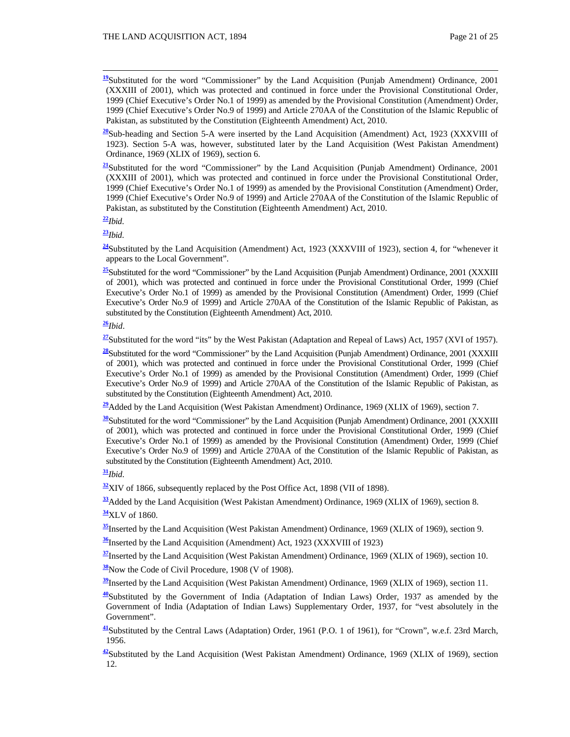**<sup>19</sup>**Substituted for the word "Commissioner" by the Land Acquisition (Punjab Amendment) Ordinance, 2001 (XXXIII of 2001), which was protected and continued in force under the Provisional Constitutional Order, 1999 (Chief Executive's Order No.1 of 1999) as amended by the Provisional Constitution (Amendment) Order, 1999 (Chief Executive's Order No.9 of 1999) and Article 270AA of the Constitution of the Islamic Republic of Pakistan, as substituted by the Constitution (Eighteenth Amendment) Act, 2010.

**<sup>20</sup>**Sub-heading and Section 5-A were inserted by the Land Acquisition (Amendment) Act, 1923 (XXXVIII of 1923). Section 5-A was, however, substituted later by the Land Acquisition (West Pakistan Amendment) Ordinance, 1969 (XLIX of 1969), section 6.

**<sup>21</sup>**Substituted for the word "Commissioner" by the Land Acquisition (Punjab Amendment) Ordinance, 2001 (XXXIII of 2001), which was protected and continued in force under the Provisional Constitutional Order, 1999 (Chief Executive's Order No.1 of 1999) as amended by the Provisional Constitution (Amendment) Order, 1999 (Chief Executive's Order No.9 of 1999) and Article 270AA of the Constitution of the Islamic Republic of Pakistan, as substituted by the Constitution (Eighteenth Amendment) Act, 2010.

**<sup>22</sup>***Ibid*.

**<sup>23</sup>***Ibid*.

**<sup>24</sup>**Substituted by the Land Acquisition (Amendment) Act, 1923 (XXXVIII of 1923), section 4, for "whenever it appears to the Local Government".

<sup>25</sup>Substituted for the word "Commissioner" by the Land Acquisition (Punjab Amendment) Ordinance, 2001 (XXXIII of 2001), which was protected and continued in force under the Provisional Constitutional Order, 1999 (Chief Executive's Order No.1 of 1999) as amended by the Provisional Constitution (Amendment) Order, 1999 (Chief Executive's Order No.9 of 1999) and Article 270AA of the Constitution of the Islamic Republic of Pakistan, as substituted by the Constitution (Eighteenth Amendment) Act, 2010.

**<sup>26</sup>***Ibid*.

**<sup>27</sup>**Substituted for the word "its" by the West Pakistan (Adaptation and Repeal of Laws) Act, 1957 (XVI of 1957).

**<sup>28</sup>**Substituted for the word "Commissioner" by the Land Acquisition (Punjab Amendment) Ordinance, 2001 (XXXIII of 2001), which was protected and continued in force under the Provisional Constitutional Order, 1999 (Chief Executive's Order No.1 of 1999) as amended by the Provisional Constitution (Amendment) Order, 1999 (Chief Executive's Order No.9 of 1999) and Article 270AA of the Constitution of the Islamic Republic of Pakistan, as substituted by the Constitution (Eighteenth Amendment) Act, 2010.

**<sup>29</sup>**Added by the Land Acquisition (West Pakistan Amendment) Ordinance, 1969 (XLIX of 1969), section 7.

**<sup>30</sup>**Substituted for the word "Commissioner" by the Land Acquisition (Punjab Amendment) Ordinance, 2001 (XXXIII of 2001), which was protected and continued in force under the Provisional Constitutional Order, 1999 (Chief Executive's Order No.1 of 1999) as amended by the Provisional Constitution (Amendment) Order, 1999 (Chief Executive's Order No.9 of 1999) and Article 270AA of the Constitution of the Islamic Republic of Pakistan, as substituted by the Constitution (Eighteenth Amendment) Act, 2010.

**<sup>31</sup>***Ibid*.

**<sup>32</sup>**XIV of 1866, subsequently replaced by the Post Office Act, 1898 (VII of 1898).

**<sup>33</sup>**Added by the Land Acquisition (West Pakistan Amendment) Ordinance, 1969 (XLIX of 1969), section 8.

**<sup>34</sup>**XLV of 1860.

**<sup>35</sup>**Inserted by the Land Acquisition (West Pakistan Amendment) Ordinance, 1969 (XLIX of 1969), section 9.

**<sup>36</sup>**Inserted by the Land Acquisition (Amendment) Act, 1923 (XXXVIII of 1923)

**<sup>37</sup>**Inserted by the Land Acquisition (West Pakistan Amendment) Ordinance, 1969 (XLIX of 1969), section 10.

**<sup>38</sup>**Now the Code of Civil Procedure, 1908 (V of 1908).

**<sup>39</sup>**Inserted by the Land Acquisition (West Pakistan Amendment) Ordinance, 1969 (XLIX of 1969), section 11.

**<sup>40</sup>**Substituted by the Government of India (Adaptation of Indian Laws) Order, 1937 as amended by the Government of India (Adaptation of Indian Laws) Supplementary Order, 1937, for "vest absolutely in the Government".

**<sup>41</sup>**Substituted by the Central Laws (Adaptation) Order, 1961 (P.O. 1 of 1961), for "Crown", w.e.f. 23rd March, 1956.

**<sup>42</sup>**Substituted by the Land Acquisition (West Pakistan Amendment) Ordinance, 1969 (XLIX of 1969), section 12.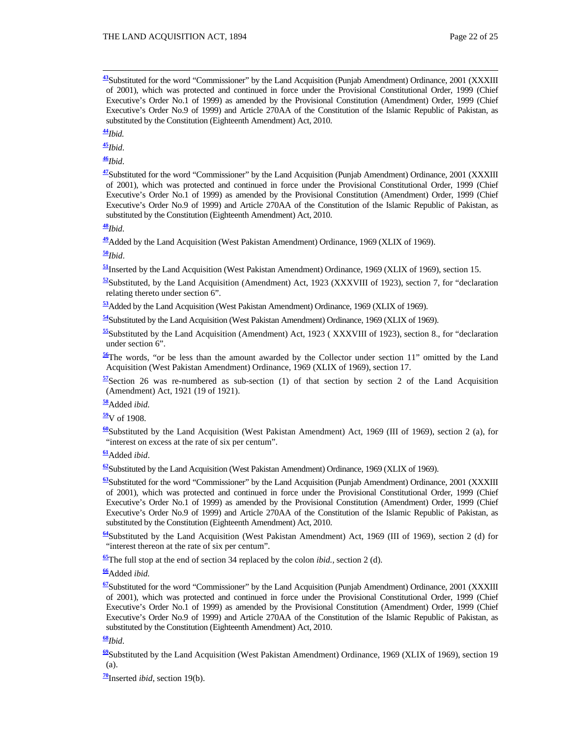**<sup>43</sup>**Substituted for the word "Commissioner" by the Land Acquisition (Punjab Amendment) Ordinance, 2001 (XXXIII of 2001), which was protected and continued in force under the Provisional Constitutional Order, 1999 (Chief Executive's Order No.1 of 1999) as amended by the Provisional Constitution (Amendment) Order, 1999 (Chief Executive's Order No.9 of 1999) and Article 270AA of the Constitution of the Islamic Republic of Pakistan, as substituted by the Constitution (Eighteenth Amendment) Act, 2010.

**<sup>44</sup>***Ibid.*

**<sup>45</sup>***Ibid*.

**<sup>46</sup>***Ibid*.

**<sup>47</sup>**Substituted for the word "Commissioner" by the Land Acquisition (Punjab Amendment) Ordinance, 2001 (XXXIII of 2001), which was protected and continued in force under the Provisional Constitutional Order, 1999 (Chief Executive's Order No.1 of 1999) as amended by the Provisional Constitution (Amendment) Order, 1999 (Chief Executive's Order No.9 of 1999) and Article 270AA of the Constitution of the Islamic Republic of Pakistan, as substituted by the Constitution (Eighteenth Amendment) Act, 2010.

**<sup>48</sup>***Ibid*.

**<sup>49</sup>**Added by the Land Acquisition (West Pakistan Amendment) Ordinance, 1969 (XLIX of 1969).

#### **<sup>50</sup>***Ibid*.

**<sup>51</sup>**Inserted by the Land Acquisition (West Pakistan Amendment) Ordinance, 1969 (XLIX of 1969)*,* section 15.

 $\frac{52}{2}$ Substituted, by the Land Acquisition (Amendment) Act, 1923 (XXXVIII of 1923), section 7, for "declaration relating thereto under section 6".

**<sup>53</sup>**Added by the Land Acquisition (West Pakistan Amendment) Ordinance, 1969 (XLIX of 1969).

**<sup>54</sup>**Substituted by the Land Acquisition (West Pakistan Amendment) Ordinance, 1969 (XLIX of 1969).

**<sup>55</sup>**Substituted by the Land Acquisition (Amendment) Act, 1923 ( XXXVIII of 1923), section 8., for "declaration under section 6".

**<sup>56</sup>**The words, "or be less than the amount awarded by the Collector under section 11" omitted by the Land Acquisition (West Pakistan Amendment) Ordinance, 1969 (XLIX of 1969), section 17.

**<sup>57</sup>**Section 26 was re-numbered as sub-section (1) of that section by section 2 of the Land Acquisition (Amendment) Act, 1921 (19 of 1921).

**<sup>58</sup>**Added *ibid.*

**<sup>59</sup>**V of 1908.

**<sup>60</sup>**Substituted by the Land Acquisition (West Pakistan Amendment) Act, 1969 (III of 1969), section 2 (a), for "interest on excess at the rate of six per centum".

**<sup>61</sup>**Added *ibid*.

**<sup>62</sup>**Substituted by the Land Acquisition (West Pakistan Amendment) Ordinance, 1969 (XLIX of 1969).

**<sup>63</sup>**Substituted for the word "Commissioner" by the Land Acquisition (Punjab Amendment) Ordinance, 2001 (XXXIII of 2001), which was protected and continued in force under the Provisional Constitutional Order, 1999 (Chief Executive's Order No.1 of 1999) as amended by the Provisional Constitution (Amendment) Order, 1999 (Chief Executive's Order No.9 of 1999) and Article 270AA of the Constitution of the Islamic Republic of Pakistan, as substituted by the Constitution (Eighteenth Amendment) Act, 2010.

**<sup>64</sup>**Substituted by the Land Acquisition (West Pakistan Amendment) Act, 1969 (III of 1969), section 2 (d) for "interest thereon at the rate of six per centum".

**<sup>65</sup>**The full stop at the end of section 34 replaced by the colon *ibid.,* section 2 (d).

**<sup>66</sup>**Added *ibid.*

**<sup>67</sup>**Substituted for the word "Commissioner" by the Land Acquisition (Punjab Amendment) Ordinance, 2001 (XXXIII of 2001), which was protected and continued in force under the Provisional Constitutional Order, 1999 (Chief Executive's Order No.1 of 1999) as amended by the Provisional Constitution (Amendment) Order, 1999 (Chief Executive's Order No.9 of 1999) and Article 270AA of the Constitution of the Islamic Republic of Pakistan, as substituted by the Constitution (Eighteenth Amendment) Act, 2010.

#### **<sup>68</sup>***Ibid*.

**<sup>69</sup>**Substituted by the Land Acquisition (West Pakistan Amendment) Ordinance, 1969 (XLIX of 1969), section 19 (a).

**<sup>70</sup>**Inserted *ibid*, section 19(b).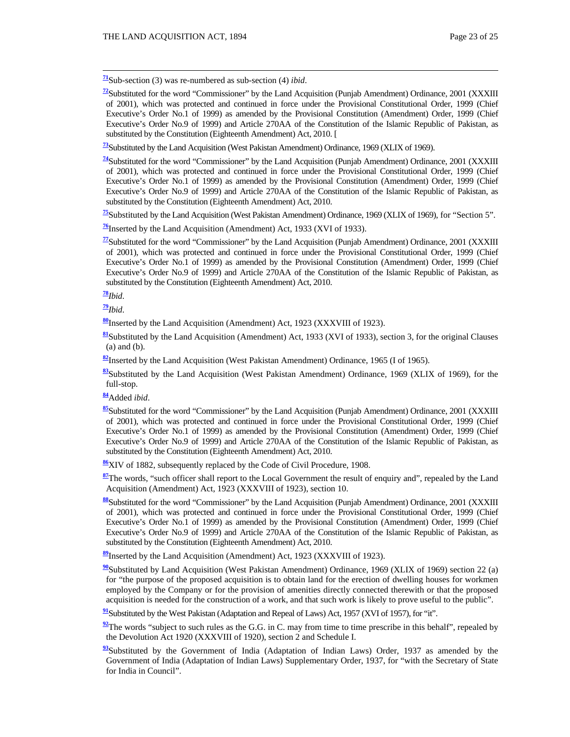**<sup>71</sup>**Sub-section (3) was re-numbered as sub-section (4) *ibid*.

**<sup>72</sup>**Substituted for the word "Commissioner" by the Land Acquisition (Punjab Amendment) Ordinance, 2001 (XXXIII of 2001), which was protected and continued in force under the Provisional Constitutional Order, 1999 (Chief Executive's Order No.1 of 1999) as amended by the Provisional Constitution (Amendment) Order, 1999 (Chief Executive's Order No.9 of 1999) and Article 270AA of the Constitution of the Islamic Republic of Pakistan, as substituted by the Constitution (Eighteenth Amendment) Act, 2010. [

**<sup>73</sup>**Substituted by the Land Acquisition (West Pakistan Amendment) Ordinance, 1969 (XLIX of 1969).

**<sup>74</sup>**Substituted for the word "Commissioner" by the Land Acquisition (Punjab Amendment) Ordinance, 2001 (XXXIII of 2001), which was protected and continued in force under the Provisional Constitutional Order, 1999 (Chief Executive's Order No.1 of 1999) as amended by the Provisional Constitution (Amendment) Order, 1999 (Chief Executive's Order No.9 of 1999) and Article 270AA of the Constitution of the Islamic Republic of Pakistan, as substituted by the Constitution (Eighteenth Amendment) Act, 2010.

**<sup>75</sup>**Substituted by the Land Acquisition (West Pakistan Amendment) Ordinance, 1969 (XLIX of 1969), for "Section 5".

**<sup>76</sup>**Inserted by the Land Acquisition (Amendment) Act, 1933 (XVI of 1933).

**<sup>77</sup>**Substituted for the word "Commissioner" by the Land Acquisition (Punjab Amendment) Ordinance, 2001 (XXXIII of 2001), which was protected and continued in force under the Provisional Constitutional Order, 1999 (Chief Executive's Order No.1 of 1999) as amended by the Provisional Constitution (Amendment) Order, 1999 (Chief Executive's Order No.9 of 1999) and Article 270AA of the Constitution of the Islamic Republic of Pakistan, as substituted by the Constitution (Eighteenth Amendment) Act, 2010.

**<sup>78</sup>***Ibid*.

**<sup>79</sup>***Ibid*.

**<sup>80</sup>**Inserted by the Land Acquisition (Amendment) Act, 1923 (XXXVIII of 1923).

**<sup>81</sup>**Substituted by the Land Acquisition (Amendment) Act, 1933 (XVI of 1933), section 3, for the original Clauses (a) and (b).

**<sup>82</sup>**Inserted by the Land Acquisition (West Pakistan Amendment) Ordinance, 1965 (I of 1965).

**<sup>83</sup>**Substituted by the Land Acquisition (West Pakistan Amendment) Ordinance, 1969 (XLIX of 1969), for the full-stop.

**<sup>84</sup>**Added *ibid*.

**<sup>85</sup>**Substituted for the word "Commissioner" by the Land Acquisition (Punjab Amendment) Ordinance, 2001 (XXXIII of 2001), which was protected and continued in force under the Provisional Constitutional Order, 1999 (Chief Executive's Order No.1 of 1999) as amended by the Provisional Constitution (Amendment) Order, 1999 (Chief Executive's Order No.9 of 1999) and Article 270AA of the Constitution of the Islamic Republic of Pakistan, as substituted by the Constitution (Eighteenth Amendment) Act, 2010.

**<sup>86</sup>**XIV of 1882, subsequently replaced by the Code of Civil Procedure, 1908.

**<sup>87</sup>**The words, "such officer shall report to the Local Government the result of enquiry and", repealed by the Land Acquisition (Amendment) Act, 1923 (XXXVIII of 1923), section 10.

**<sup>88</sup>**Substituted for the word "Commissioner" by the Land Acquisition (Punjab Amendment) Ordinance, 2001 (XXXIII of 2001), which was protected and continued in force under the Provisional Constitutional Order, 1999 (Chief Executive's Order No.1 of 1999) as amended by the Provisional Constitution (Amendment) Order, 1999 (Chief Executive's Order No.9 of 1999) and Article 270AA of the Constitution of the Islamic Republic of Pakistan, as substituted by the Constitution (Eighteenth Amendment) Act, 2010.

**<sup>89</sup>**Inserted by the Land Acquisition (Amendment) Act, 1923 (XXXVIII of 1923).

**<sup>90</sup>**Substituted by Land Acquisition (West Pakistan Amendment) Ordinance, 1969 (XLIX of 1969) section 22 (a) for "the purpose of the proposed acquisition is to obtain land for the erection of dwelling houses for workmen employed by the Company or for the provision of amenities directly connected therewith or that the proposed acquisition is needed for the construction of a work, and that such work is likely to prove useful to the public".

**<sup>91</sup>**Substituted by the West Pakistan (Adaptation and Repeal of Laws) Act, 1957 (XVI of 1957), for "it".

<sup>92</sup>The words "subject to such rules as the G.G. in C. may from time to time prescribe in this behalf", repealed by the Devolution Act 1920 (XXXVIII of 1920), section 2 and Schedule I.

<sup>93</sup>Substituted by the Government of India (Adaptation of Indian Laws) Order, 1937 as amended by the Government of India (Adaptation of Indian Laws) Supplementary Order, 1937, for "with the Secretary of State for India in Council".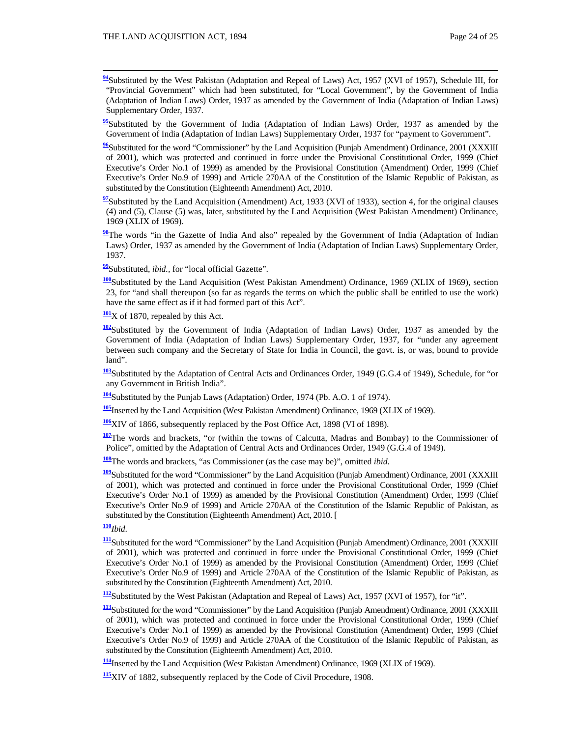**<sup>94</sup>**Substituted by the West Pakistan (Adaptation and Repeal of Laws) Act, 1957 (XVI of 1957), Schedule III, for "Provincial Government" which had been substituted, for "Local Government", by the Government of India (Adaptation of Indian Laws) Order, 1937 as amended by the Government of India (Adaptation of Indian Laws) Supplementary Order, 1937.

<sup>95</sup>Substituted by the Government of India (Adaptation of Indian Laws) Order, 1937 as amended by the Government of India (Adaptation of Indian Laws) Supplementary Order, 1937 for "payment to Government".

**<sup>96</sup>**Substituted for the word "Commissioner" by the Land Acquisition (Punjab Amendment) Ordinance, 2001 (XXXIII of 2001), which was protected and continued in force under the Provisional Constitutional Order, 1999 (Chief Executive's Order No.1 of 1999) as amended by the Provisional Constitution (Amendment) Order, 1999 (Chief Executive's Order No.9 of 1999) and Article 270AA of the Constitution of the Islamic Republic of Pakistan, as substituted by the Constitution (Eighteenth Amendment) Act, 2010.

**<sup>97</sup>**Substituted by the Land Acquisition (Amendment) Act, 1933 (XVI of 1933), section 4, for the original clauses (4) and (5), Clause (5) was, later, substituted by the Land Acquisition (West Pakistan Amendment) Ordinance, 1969 (XLIX of 1969).

**<sup>98</sup>**The words "in the Gazette of India And also" repealed by the Government of India (Adaptation of Indian Laws) Order, 1937 as amended by the Government of India (Adaptation of Indian Laws) Supplementary Order, 1937.

**<sup>99</sup>**Substituted, *ibid.,* for "local official Gazette".

**<sup>100</sup>**Substituted by the Land Acquisition (West Pakistan Amendment) Ordinance, 1969 (XLIX of 1969), section 23, for "and shall thereupon (so far as regards the terms on which the public shall be entitled to use the work) have the same effect as if it had formed part of this Act".

**<sup>101</sup>**X of 1870, repealed by this Act.

**<sup>102</sup>**Substituted by the Government of India (Adaptation of Indian Laws) Order, 1937 as amended by the Government of India (Adaptation of Indian Laws) Supplementary Order, 1937, for "under any agreement between such company and the Secretary of State for India in Council, the govt. is, or was, bound to provide land".

**<sup>103</sup>**Substituted by the Adaptation of Central Acts and Ordinances Order, 1949 (G.G.4 of 1949), Schedule, for "or any Government in British India".

**<sup>104</sup>**Substituted by the Punjab Laws (Adaptation) Order, 1974 (Pb. A.O. 1 of 1974).

**<sup>105</sup>**Inserted by the Land Acquisition (West Pakistan Amendment) Ordinance, 1969 (XLIX of 1969).

**<sup>106</sup>**XIV of 1866, subsequently replaced by the Post Office Act, 1898 (VI of 1898).

**<sup>107</sup>**The words and brackets, "or (within the towns of Calcutta, Madras and Bombay) to the Commissioner of Police", omitted by the Adaptation of Central Acts and Ordinances Order, 1949 (G.G.4 of 1949).

**<sup>108</sup>**The words and brackets, "as Commissioner (as the case may be)", omitted *ibid.*

**<sup>109</sup>**Substituted for the word "Commissioner" by the Land Acquisition (Punjab Amendment) Ordinance, 2001 (XXXIII of 2001), which was protected and continued in force under the Provisional Constitutional Order, 1999 (Chief Executive's Order No.1 of 1999) as amended by the Provisional Constitution (Amendment) Order, 1999 (Chief Executive's Order No.9 of 1999) and Article 270AA of the Constitution of the Islamic Republic of Pakistan, as substituted by the Constitution (Eighteenth Amendment) Act, 2010. [

**<sup>110</sup>***Ibid*.

**<sup>111</sup>**Substituted for the word "Commissioner" by the Land Acquisition (Punjab Amendment) Ordinance, 2001 (XXXIII of 2001), which was protected and continued in force under the Provisional Constitutional Order, 1999 (Chief Executive's Order No.1 of 1999) as amended by the Provisional Constitution (Amendment) Order, 1999 (Chief Executive's Order No.9 of 1999) and Article 270AA of the Constitution of the Islamic Republic of Pakistan, as substituted by the Constitution (Eighteenth Amendment) Act, 2010.

**<sup>112</sup>**Substituted by the West Pakistan (Adaptation and Repeal of Laws) Act, 1957 (XVI of 1957), for "it".

**<sup>113</sup>**Substituted for the word "Commissioner" by the Land Acquisition (Punjab Amendment) Ordinance, 2001 (XXXIII of 2001), which was protected and continued in force under the Provisional Constitutional Order, 1999 (Chief Executive's Order No.1 of 1999) as amended by the Provisional Constitution (Amendment) Order, 1999 (Chief Executive's Order No.9 of 1999) and Article 270AA of the Constitution of the Islamic Republic of Pakistan, as substituted by the Constitution (Eighteenth Amendment) Act, 2010.

**<sup>114</sup>**Inserted by the Land Acquisition (West Pakistan Amendment) Ordinance, 1969 (XLIX of 1969).

**<sup>115</sup>**XIV of 1882, subsequently replaced by the Code of Civil Procedure, 1908.